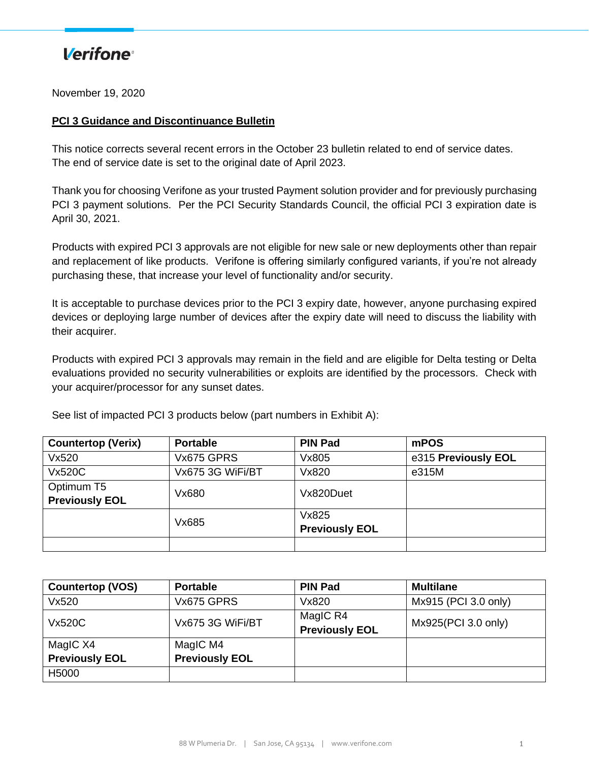#### **Verifone**<sup>®</sup>

November 19, 2020

#### **PCI 3 Guidance and Discontinuance Bulletin**

This notice corrects several recent errors in the October 23 bulletin related to end of service dates. The end of service date is set to the original date of April 2023.

Thank you for choosing Verifone as your trusted Payment solution provider and for previously purchasing PCI 3 payment solutions. Per the PCI Security Standards Council, the official PCI 3 expiration date is April 30, 2021.

Products with expired PCI 3 approvals are not eligible for new sale or new deployments other than repair and replacement of like products. Verifone is offering similarly configured variants, if you're not already purchasing these, that increase your level of functionality and/or security.

It is acceptable to purchase devices prior to the PCI 3 expiry date, however, anyone purchasing expired devices or deploying large number of devices after the expiry date will need to discuss the liability with their acquirer.

Products with expired PCI 3 approvals may remain in the field and are eligible for Delta testing or Delta evaluations provided no security vulnerabilities or exploits are identified by the processors. Check with your acquirer/processor for any sunset dates.

| <b>Countertop (Verix)</b> | <b>Portable</b>  | <b>PIN Pad</b>        | mPOS                |
|---------------------------|------------------|-----------------------|---------------------|
| Vx520                     | Vx675 GPRS       | Vx805                 | e315 Previously EOL |
| <b>Vx520C</b>             | Vx675 3G WiFi/BT | Vx820                 | e315M               |
| Optimum T5                | Vx680            | Vx820Duet             |                     |
| <b>Previously EOL</b>     |                  |                       |                     |
|                           | Vx685            | Vx825                 |                     |
|                           |                  | <b>Previously EOL</b> |                     |
|                           |                  |                       |                     |

See list of impacted PCI 3 products below (part numbers in Exhibit A):

| <b>Countertop (VOS)</b> | <b>Portable</b>       | <b>PIN Pad</b>                    | <b>Multilane</b>     |
|-------------------------|-----------------------|-----------------------------------|----------------------|
| Vx520                   | Vx675 GPRS            | Vx820                             | Mx915 (PCI 3.0 only) |
| Vx520C                  | Vx675 3G WiFi/BT      | MagIC R4<br><b>Previously EOL</b> | Mx925(PCI 3.0 only)  |
| MagIC X4                | MagIC M4              |                                   |                      |
| <b>Previously EOL</b>   | <b>Previously EOL</b> |                                   |                      |
| H5000                   |                       |                                   |                      |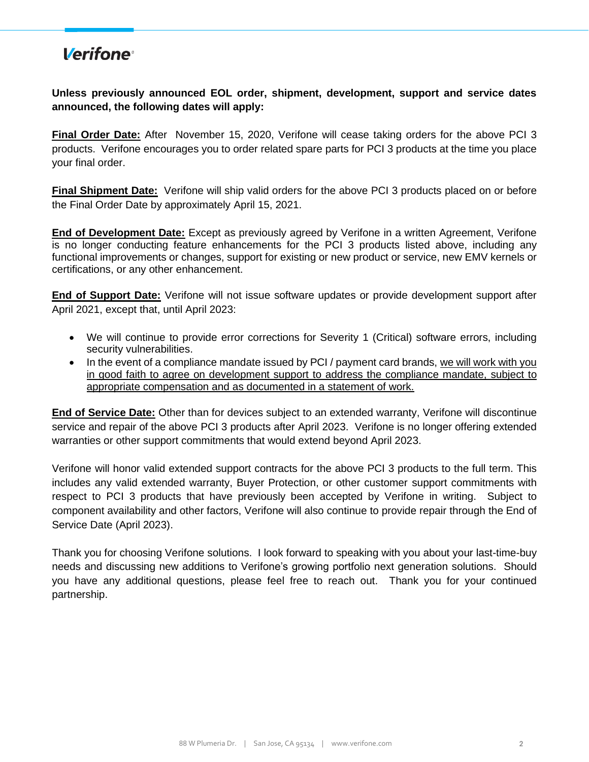#### **Verifone**<sup>®</sup>

**Unless previously announced EOL order, shipment, development, support and service dates announced, the following dates will apply:** 

**Final Order Date:** After November 15, 2020, Verifone will cease taking orders for the above PCI 3 products. Verifone encourages you to order related spare parts for PCI 3 products at the time you place your final order.

**Final Shipment Date:** Verifone will ship valid orders for the above PCI 3 products placed on or before the Final Order Date by approximately April 15, 2021.

**End of Development Date:** Except as previously agreed by Verifone in a written Agreement, Verifone is no longer conducting feature enhancements for the PCI 3 products listed above, including any functional improvements or changes, support for existing or new product or service, new EMV kernels or certifications, or any other enhancement.

**End of Support Date:** Verifone will not issue software updates or provide development support after April 2021, except that, until April 2023:

- We will continue to provide error corrections for Severity 1 (Critical) software errors, including security vulnerabilities.
- In the event of a compliance mandate issued by PCI / payment card brands, we will work with you in good faith to agree on development support to address the compliance mandate, subject to appropriate compensation and as documented in a statement of work.

**End of Service Date:** Other than for devices subject to an extended warranty, Verifone will discontinue service and repair of the above PCI 3 products after April 2023. Verifone is no longer offering extended warranties or other support commitments that would extend beyond April 2023.

Verifone will honor valid extended support contracts for the above PCI 3 products to the full term. This includes any valid extended warranty, Buyer Protection, or other customer support commitments with respect to PCI 3 products that have previously been accepted by Verifone in writing. Subject to component availability and other factors, Verifone will also continue to provide repair through the End of Service Date (April 2023).

Thank you for choosing Verifone solutions. I look forward to speaking with you about your last-time-buy needs and discussing new additions to Verifone's growing portfolio next generation solutions. Should you have any additional questions, please feel free to reach out. Thank you for your continued partnership.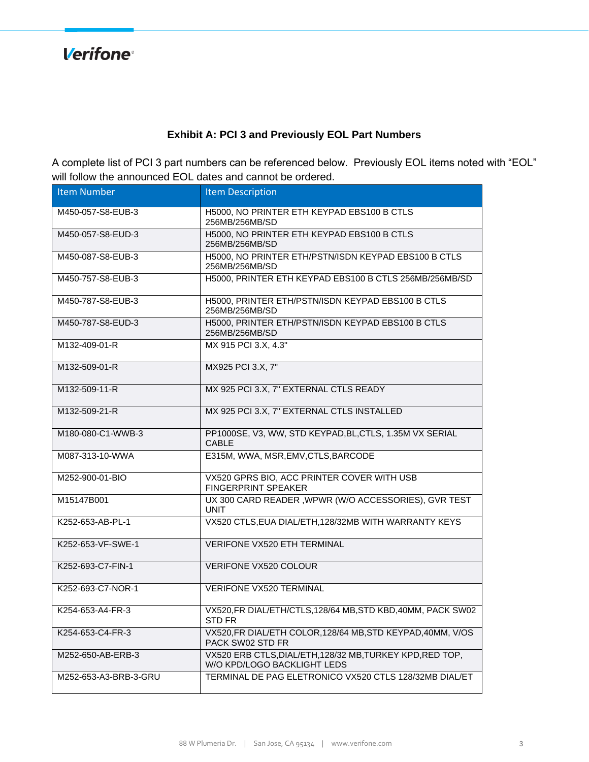**Verifone**®

#### **Exhibit A: PCI 3 and Previously EOL Part Numbers**

A complete list of PCI 3 part numbers can be referenced below. Previously EOL items noted with "EOL" will follow the announced EOL dates and cannot be ordered.

| <b>Item Number</b>    | <b>Item Description</b>                                                                  |
|-----------------------|------------------------------------------------------------------------------------------|
| M450-057-S8-EUB-3     | H5000, NO PRINTER ETH KEYPAD EBS100 B CTLS<br>256MB/256MB/SD                             |
| M450-057-S8-EUD-3     | H5000, NO PRINTER ETH KEYPAD EBS100 B CTLS<br>256MB/256MB/SD                             |
| M450-087-S8-EUB-3     | H5000, NO PRINTER ETH/PSTN/ISDN KEYPAD EBS100 B CTLS<br>256MB/256MB/SD                   |
| M450-757-S8-EUB-3     | H5000, PRINTER ETH KEYPAD EBS100 B CTLS 256MB/256MB/SD                                   |
| M450-787-S8-EUB-3     | H5000, PRINTER ETH/PSTN/ISDN KEYPAD EBS100 B CTLS<br>256MB/256MB/SD                      |
| M450-787-S8-EUD-3     | H5000, PRINTER ETH/PSTN/ISDN KEYPAD EBS100 B CTLS<br>256MB/256MB/SD                      |
| M132-409-01-R         | MX 915 PCI 3.X, 4.3"                                                                     |
| M132-509-01-R         | MX925 PCI 3.X, 7"                                                                        |
| M132-509-11-R         | MX 925 PCI 3.X, 7" EXTERNAL CTLS READY                                                   |
| M132-509-21-R         | MX 925 PCI 3.X, 7" EXTERNAL CTLS INSTALLED                                               |
| M180-080-C1-WWB-3     | PP1000SE, V3, WW, STD KEYPAD, BL, CTLS, 1.35M VX SERIAL<br><b>CABLE</b>                  |
| M087-313-10-WWA       | E315M, WWA, MSR, EMV, CTLS, BARCODE                                                      |
| M252-900-01-BIO       | VX520 GPRS BIO, ACC PRINTER COVER WITH USB<br><b>FINGERPRINT SPEAKER</b>                 |
| M15147B001            | UX 300 CARD READER, WPWR (W/O ACCESSORIES), GVR TEST<br><b>UNIT</b>                      |
| K252-653-AB-PL-1      | VX520 CTLS, EUA DIAL/ETH, 128/32MB WITH WARRANTY KEYS                                    |
| K252-653-VF-SWE-1     | VERIFONE VX520 ETH TERMINAL                                                              |
| K252-693-C7-FIN-1     | <b>VERIFONE VX520 COLOUR</b>                                                             |
| K252-693-C7-NOR-1     | <b>VERIFONE VX520 TERMINAL</b>                                                           |
| K254-653-A4-FR-3      | VX520, FR DIAL/ETH/CTLS, 128/64 MB, STD KBD, 40MM, PACK SW02<br>STD FR                   |
| K254-653-C4-FR-3      | VX520, FR DIAL/ETH COLOR, 128/64 MB, STD KEYPAD, 40MM, V/OS<br>PACK SW02 STD FR          |
| M252-650-AB-ERB-3     | VX520 ERB CTLS, DIAL/ETH, 128/32 MB, TURKEY KPD, RED TOP,<br>W/O KPD/LOGO BACKLIGHT LEDS |
| M252-653-A3-BRB-3-GRU | TERMINAL DE PAG ELETRONICO VX520 CTLS 128/32MB DIAL/ET                                   |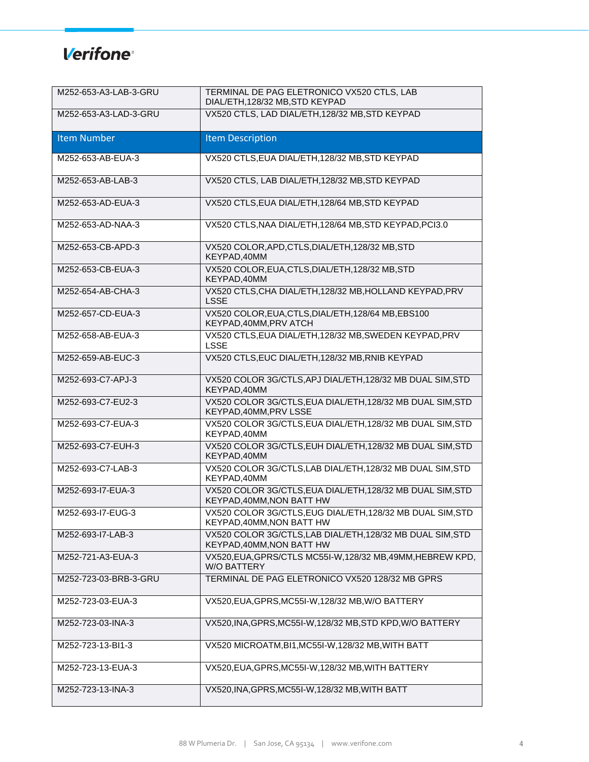| M252-653-A3-LAB-3-GRU | TERMINAL DE PAG ELETRONICO VX520 CTLS, LAB<br>DIAL/ETH, 128/32 MB, STD KEYPAD           |
|-----------------------|-----------------------------------------------------------------------------------------|
| M252-653-A3-LAD-3-GRU | VX520 CTLS, LAD DIAL/ETH, 128/32 MB, STD KEYPAD                                         |
| <b>Item Number</b>    | <b>Item Description</b>                                                                 |
| M252-653-AB-EUA-3     | VX520 CTLS, EUA DIAL/ETH, 128/32 MB, STD KEYPAD                                         |
| M252-653-AB-LAB-3     | VX520 CTLS, LAB DIAL/ETH, 128/32 MB, STD KEYPAD                                         |
| M252-653-AD-EUA-3     | VX520 CTLS, EUA DIAL/ETH, 128/64 MB, STD KEYPAD                                         |
| M252-653-AD-NAA-3     | VX520 CTLS, NAA DIAL/ETH, 128/64 MB, STD KEYPAD, PCI3.0                                 |
| M252-653-CB-APD-3     | VX520 COLOR, APD, CTLS, DIAL/ETH, 128/32 MB, STD<br>KEYPAD, 40MM                        |
| M252-653-CB-EUA-3     | VX520 COLOR, EUA, CTLS, DIAL/ETH, 128/32 MB, STD<br>KEYPAD, 40MM                        |
| M252-654-AB-CHA-3     | VX520 CTLS, CHA DIAL/ETH, 128/32 MB, HOLLAND KEYPAD, PRV<br><b>LSSE</b>                 |
| M252-657-CD-EUA-3     | VX520 COLOR, EUA, CTLS, DIAL/ETH, 128/64 MB, EBS100<br>KEYPAD, 40MM, PRV ATCH           |
| M252-658-AB-EUA-3     | VX520 CTLS, EUA DIAL/ETH, 128/32 MB, SWEDEN KEYPAD, PRV<br><b>LSSE</b>                  |
| M252-659-AB-EUC-3     | VX520 CTLS, EUC DIAL/ETH, 128/32 MB, RNIB KEYPAD                                        |
| M252-693-C7-APJ-3     | VX520 COLOR 3G/CTLS, APJ DIAL/ETH, 128/32 MB DUAL SIM, STD<br>KEYPAD, 40MM              |
| M252-693-C7-EU2-3     | VX520 COLOR 3G/CTLS, EUA DIAL/ETH, 128/32 MB DUAL SIM, STD<br>KEYPAD, 40MM, PRV LSSE    |
| M252-693-C7-EUA-3     | VX520 COLOR 3G/CTLS, EUA DIAL/ETH, 128/32 MB DUAL SIM, STD<br>KEYPAD,40MM               |
| M252-693-C7-EUH-3     | VX520 COLOR 3G/CTLS, EUH DIAL/ETH, 128/32 MB DUAL SIM, STD<br>KEYPAD, 40MM              |
| M252-693-C7-LAB-3     | VX520 COLOR 3G/CTLS, LAB DIAL/ETH, 128/32 MB DUAL SIM, STD<br>KEYPAD, 40MM              |
| M252-693-I7-EUA-3     | VX520 COLOR 3G/CTLS, EUA DIAL/ETH, 128/32 MB DUAL SIM, STD<br>KEYPAD, 40MM, NON BATT HW |
| M252-693-I7-EUG-3     | VX520 COLOR 3G/CTLS, EUG DIAL/ETH, 128/32 MB DUAL SIM, STD<br>KEYPAD, 40MM, NON BATT HW |
| M252-693-I7-LAB-3     | VX520 COLOR 3G/CTLS, LAB DIAL/ETH, 128/32 MB DUAL SIM, STD<br>KEYPAD, 40MM, NON BATT HW |
| M252-721-A3-EUA-3     | VX520, EUA, GPRS/CTLS MC55I-W, 128/32 MB, 49MM, HEBREW KPD,<br><b>W/O BATTERY</b>       |
| M252-723-03-BRB-3-GRU | TERMINAL DE PAG ELETRONICO VX520 128/32 MB GPRS                                         |
| M252-723-03-EUA-3     | VX520, EUA, GPRS, MC55I-W, 128/32 MB, W/O BATTERY                                       |
| M252-723-03-INA-3     | VX520, INA, GPRS, MC55I-W, 128/32 MB, STD KPD, W/O BATTERY                              |
| M252-723-13-BI1-3     | VX520 MICROATM, BI1, MC55I-W, 128/32 MB, WITH BATT                                      |
| M252-723-13-EUA-3     | VX520, EUA, GPRS, MC55I-W, 128/32 MB, WITH BATTERY                                      |
| M252-723-13-INA-3     | VX520, INA, GPRS, MC55I-W, 128/32 MB, WITH BATT                                         |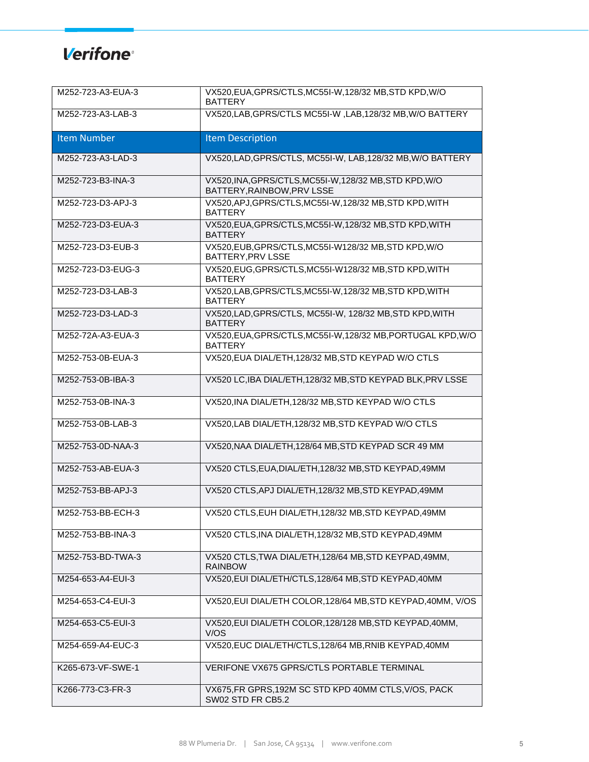| M252-723-A3-EUA-3  | VX520, EUA, GPRS/CTLS, MC55I-W, 128/32 MB, STD KPD, W/O<br><b>BATTERY</b>             |
|--------------------|---------------------------------------------------------------------------------------|
| M252-723-A3-LAB-3  | VX520, LAB, GPRS/CTLS MC55I-W, LAB, 128/32 MB, W/O BATTERY                            |
| <b>Item Number</b> | <b>Item Description</b>                                                               |
| M252-723-A3-LAD-3  | VX520, LAD, GPRS/CTLS, MC55I-W, LAB, 128/32 MB, W/O BATTERY                           |
| M252-723-B3-INA-3  | VX520, INA, GPRS/CTLS, MC55I-W, 128/32 MB, STD KPD, W/O<br>BATTERY, RAINBOW, PRV LSSE |
| M252-723-D3-APJ-3  | VX520, APJ, GPRS/CTLS, MC55I-W, 128/32 MB, STD KPD, WITH<br><b>BATTERY</b>            |
| M252-723-D3-EUA-3  | VX520, EUA, GPRS/CTLS, MC55I-W, 128/32 MB, STD KPD, WITH<br><b>BATTERY</b>            |
| M252-723-D3-EUB-3  | VX520, EUB, GPRS/CTLS, MC55I-W128/32 MB, STD KPD, W/O<br>BATTERY, PRV LSSE            |
| M252-723-D3-EUG-3  | VX520, EUG, GPRS/CTLS, MC55I-W128/32 MB, STD KPD, WITH<br><b>BATTERY</b>              |
| M252-723-D3-LAB-3  | VX520,LAB, GPRS/CTLS, MC55I-W, 128/32 MB, STD KPD, WITH<br><b>BATTERY</b>             |
| M252-723-D3-LAD-3  | VX520, LAD, GPRS/CTLS, MC55I-W, 128/32 MB, STD KPD, WITH<br><b>BATTERY</b>            |
| M252-72A-A3-EUA-3  | VX520, EUA, GPRS/CTLS, MC55I-W, 128/32 MB, PORTUGAL KPD, W/O<br><b>BATTERY</b>        |
| M252-753-0B-EUA-3  | VX520, EUA DIAL/ETH, 128/32 MB, STD KEYPAD W/O CTLS                                   |
| M252-753-0B-IBA-3  | VX520 LC, IBA DIAL/ETH, 128/32 MB, STD KEYPAD BLK, PRV LSSE                           |
| M252-753-0B-INA-3  | VX520, INA DIAL/ETH, 128/32 MB, STD KEYPAD W/O CTLS                                   |
| M252-753-0B-LAB-3  | VX520, LAB DIAL/ETH, 128/32 MB, STD KEYPAD W/O CTLS                                   |
| M252-753-0D-NAA-3  | VX520, NAA DIAL/ETH, 128/64 MB, STD KEYPAD SCR 49 MM                                  |
| M252-753-AB-EUA-3  | VX520 CTLS, EUA, DIAL/ETH, 128/32 MB, STD KEYPAD, 49MM                                |
| M252-753-BB-APJ-3  | VX520 CTLS, APJ DIAL/ETH, 128/32 MB, STD KEYPAD, 49MM                                 |
| M252-753-BB-ECH-3  | VX520 CTLS, EUH DIAL/ETH, 128/32 MB, STD KEYPAD, 49MM                                 |
| M252-753-BB-INA-3  | VX520 CTLS, INA DIAL/ETH, 128/32 MB, STD KEYPAD, 49MM                                 |
| M252-753-BD-TWA-3  | VX520 CTLS, TWA DIAL/ETH, 128/64 MB, STD KEYPAD, 49MM,<br><b>RAINBOW</b>              |
| M254-653-A4-EUI-3  | VX520, EUI DIAL/ETH/CTLS, 128/64 MB, STD KEYPAD, 40MM                                 |
| M254-653-C4-EUI-3  | VX520, EUI DIAL/ETH COLOR, 128/64 MB, STD KEYPAD, 40MM, V/OS                          |
| M254-653-C5-EUI-3  | VX520, EUI DIAL/ETH COLOR, 128/128 MB, STD KEYPAD, 40MM,<br>V/OS                      |
| M254-659-A4-EUC-3  | VX520, EUC DIAL/ETH/CTLS, 128/64 MB, RNIB KEYPAD, 40MM                                |
| K265-673-VF-SWE-1  | VERIFONE VX675 GPRS/CTLS PORTABLE TERMINAL                                            |
| K266-773-C3-FR-3   | VX675, FR GPRS, 192M SC STD KPD 40MM CTLS, V/OS, PACK<br>SW02 STD FR CB5.2            |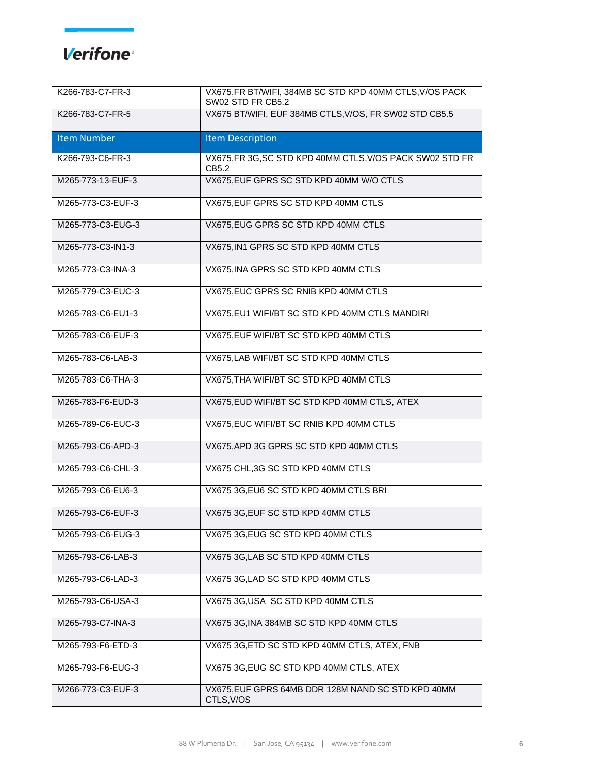| K266-783-C7-FR-3   | VX675, FR BT/WIFI, 384MB SC STD KPD 40MM CTLS, V/OS PACK<br>SW02 STD FR CB5.2 |
|--------------------|-------------------------------------------------------------------------------|
| K266-783-C7-FR-5   | VX675 BT/WIFI, EUF 384MB CTLS, V/OS, FR SW02 STD CB5.5                        |
| <b>Item Number</b> | <b>Item Description</b>                                                       |
| K266-793-C6-FR-3   | VX675, FR 3G, SC STD KPD 40MM CTLS, V/OS PACK SW02 STD FR<br>CB5.2            |
| M265-773-13-EUF-3  | VX675, EUF GPRS SC STD KPD 40MM W/O CTLS                                      |
| M265-773-C3-EUF-3  | VX675, EUF GPRS SC STD KPD 40MM CTLS                                          |
| M265-773-C3-EUG-3  | VX675, EUG GPRS SC STD KPD 40MM CTLS                                          |
| M265-773-C3-IN1-3  | VX675, IN1 GPRS SC STD KPD 40MM CTLS                                          |
| M265-773-C3-INA-3  | VX675, INA GPRS SC STD KPD 40MM CTLS                                          |
| M265-779-C3-EUC-3  | VX675, EUC GPRS SC RNIB KPD 40MM CTLS                                         |
| M265-783-C6-EU1-3  | VX675, EU1 WIFI/BT SC STD KPD 40MM CTLS MANDIRI                               |
| M265-783-C6-EUF-3  | VX675, EUF WIFI/BT SC STD KPD 40MM CTLS                                       |
| M265-783-C6-LAB-3  | VX675, LAB WIFI/BT SC STD KPD 40MM CTLS                                       |
| M265-783-C6-THA-3  | VX675, THA WIFI/BT SC STD KPD 40MM CTLS                                       |
| M265-783-F6-EUD-3  | VX675, EUD WIFI/BT SC STD KPD 40MM CTLS, ATEX                                 |
| M265-789-C6-EUC-3  | VX675, EUC WIFI/BT SC RNIB KPD 40MM CTLS                                      |
| M265-793-C6-APD-3  | VX675, APD 3G GPRS SC STD KPD 40MM CTLS                                       |
| M265-793-C6-CHL-3  | VX675 CHL, 3G SC STD KPD 40MM CTLS                                            |
| M265-793-C6-EU6-3  | VX675 3G, EU6 SC STD KPD 40MM CTLS BRI                                        |
| M265-793-C6-EUF-3  | VX675 3G, EUF SC STD KPD 40MM CTLS                                            |
| M265-793-C6-EUG-3  | VX675 3G, EUG SC STD KPD 40MM CTLS                                            |
| M265-793-C6-LAB-3  | VX675 3G, LAB SC STD KPD 40MM CTLS                                            |
| M265-793-C6-LAD-3  | VX675 3G, LAD SC STD KPD 40MM CTLS                                            |
| M265-793-C6-USA-3  | VX675 3G, USA SC STD KPD 40MM CTLS                                            |
| M265-793-C7-INA-3  | VX675 3G, INA 384MB SC STD KPD 40MM CTLS                                      |
| M265-793-F6-ETD-3  | VX675 3G, ETD SC STD KPD 40MM CTLS, ATEX, FNB                                 |
| M265-793-F6-EUG-3  | VX675 3G, EUG SC STD KPD 40MM CTLS, ATEX                                      |
| M266-773-C3-EUF-3  | VX675, EUF GPRS 64MB DDR 128M NAND SC STD KPD 40MM<br>CTLS, V/OS              |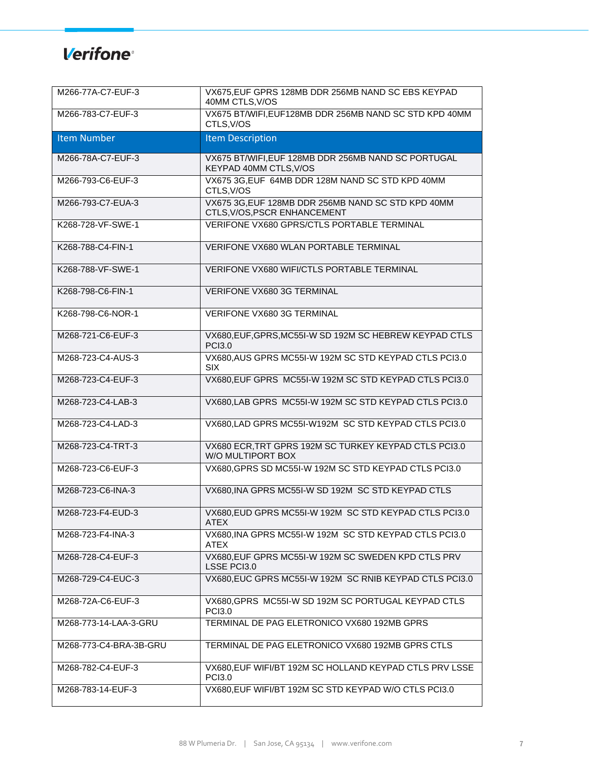| M266-77A-C7-EUF-3      | VX675, EUF GPRS 128MB DDR 256MB NAND SC EBS KEYPAD<br>40MM CTLS, V/OS              |
|------------------------|------------------------------------------------------------------------------------|
| M266-783-C7-EUF-3      | VX675 BT/WIFI, EUF128MB DDR 256MB NAND SC STD KPD 40MM<br>CTLS, V/OS               |
| <b>Item Number</b>     | <b>Item Description</b>                                                            |
| M266-78A-C7-EUF-3      | VX675 BT/WIFI, EUF 128MB DDR 256MB NAND SC PORTUGAL<br>KEYPAD 40MM CTLS, V/OS      |
| M266-793-C6-EUF-3      | VX675 3G, EUF 64MB DDR 128M NAND SC STD KPD 40MM<br>CTLS, V/OS                     |
| M266-793-C7-EUA-3      | VX675 3G, EUF 128MB DDR 256MB NAND SC STD KPD 40MM<br>CTLS, V/OS, PSCR ENHANCEMENT |
| K268-728-VF-SWE-1      | VERIFONE VX680 GPRS/CTLS PORTABLE TERMINAL                                         |
| K268-788-C4-FIN-1      | VERIFONE VX680 WLAN PORTABLE TERMINAL                                              |
| K268-788-VF-SWE-1      | VERIFONE VX680 WIFI/CTLS PORTABLE TERMINAL                                         |
| K268-798-C6-FIN-1      | VERIFONE VX680 3G TERMINAL                                                         |
| K268-798-C6-NOR-1      | VERIFONE VX680 3G TERMINAL                                                         |
| M268-721-C6-EUF-3      | VX680, EUF, GPRS, MC55I-W SD 192M SC HEBREW KEYPAD CTLS<br><b>PCI3.0</b>           |
| M268-723-C4-AUS-3      | VX680, AUS GPRS MC55I-W 192M SC STD KEYPAD CTLS PCI3.0<br><b>SIX</b>               |
| M268-723-C4-EUF-3      | VX680, EUF GPRS MC55I-W 192M SC STD KEYPAD CTLS PCI3.0                             |
| M268-723-C4-LAB-3      | VX680, LAB GPRS MC55I-W 192M SC STD KEYPAD CTLS PCI3.0                             |
| M268-723-C4-LAD-3      | VX680, LAD GPRS MC55I-W192M SC STD KEYPAD CTLS PCI3.0                              |
| M268-723-C4-TRT-3      | VX680 ECR, TRT GPRS 192M SC TURKEY KEYPAD CTLS PCI3.0<br>W/O MULTIPORT BOX         |
| M268-723-C6-EUF-3      | VX680, GPRS SD MC55I-W 192M SC STD KEYPAD CTLS PCI3.0                              |
| M268-723-C6-INA-3      | VX680, INA GPRS MC55I-W SD 192M SC STD KEYPAD CTLS                                 |
| M268-723-F4-EUD-3      | VX680, EUD GPRS MC55I-W 192M SC STD KEYPAD CTLS PCI3.0<br>ATEX                     |
| M268-723-F4-INA-3      | VX680, INA GPRS MC55I-W 192M SC STD KEYPAD CTLS PCI3.0<br>ATEX                     |
| M268-728-C4-EUF-3      | VX680, EUF GPRS MC55I-W 192M SC SWEDEN KPD CTLS PRV<br>LSSE PCI3.0                 |
| M268-729-C4-EUC-3      | VX680, EUC GPRS MC55I-W 192M SC RNIB KEYPAD CTLS PCI3.0                            |
| M268-72A-C6-EUF-3      | VX680, GPRS MC55I-W SD 192M SC PORTUGAL KEYPAD CTLS<br><b>PCI3.0</b>               |
| M268-773-14-LAA-3-GRU  | TERMINAL DE PAG ELETRONICO VX680 192MB GPRS                                        |
| M268-773-C4-BRA-3B-GRU | TERMINAL DE PAG ELETRONICO VX680 192MB GPRS CTLS                                   |
| M268-782-C4-EUF-3      | VX680, EUF WIFI/BT 192M SC HOLLAND KEYPAD CTLS PRV LSSE<br><b>PCI3.0</b>           |
| M268-783-14-EUF-3      | VX680, EUF WIFI/BT 192M SC STD KEYPAD W/O CTLS PCI3.0                              |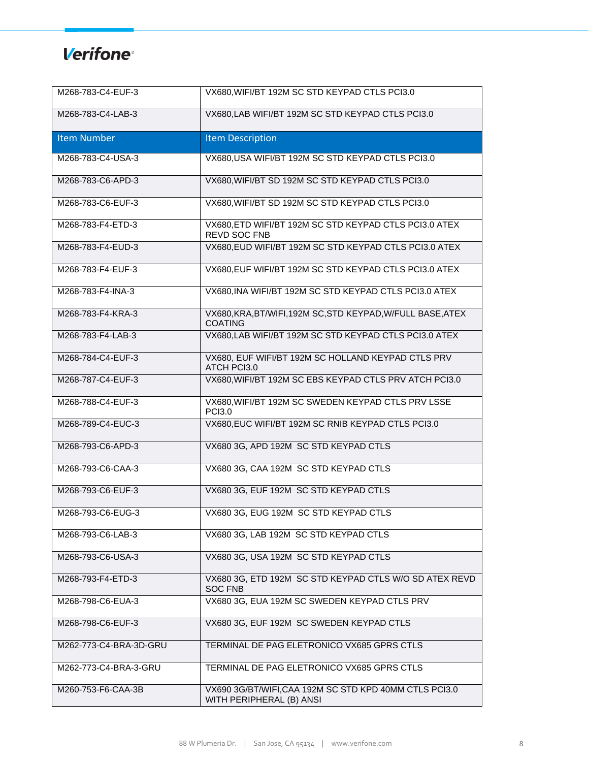| M268-783-C4-EUF-3      | VX680, WIFI/BT 192M SC STD KEYPAD CTLS PCI3.0                                      |
|------------------------|------------------------------------------------------------------------------------|
| M268-783-C4-LAB-3      | VX680, LAB WIFI/BT 192M SC STD KEYPAD CTLS PCI3.0                                  |
| <b>Item Number</b>     | <b>Item Description</b>                                                            |
| M268-783-C4-USA-3      | VX680, USA WIFI/BT 192M SC STD KEYPAD CTLS PCI3.0                                  |
| M268-783-C6-APD-3      | VX680, WIFI/BT SD 192M SC STD KEYPAD CTLS PCI3.0                                   |
| M268-783-C6-EUF-3      | VX680, WIFI/BT SD 192M SC STD KEYPAD CTLS PCI3.0                                   |
| M268-783-F4-ETD-3      | VX680, ETD WIFI/BT 192M SC STD KEYPAD CTLS PCI3.0 ATEX<br>REVD SOC FNB             |
| M268-783-F4-EUD-3      | VX680, EUD WIFI/BT 192M SC STD KEYPAD CTLS PCI3.0 ATEX                             |
| M268-783-F4-EUF-3      | VX680, EUF WIFI/BT 192M SC STD KEYPAD CTLS PCI3.0 ATEX                             |
| M268-783-F4-INA-3      | VX680, INA WIFI/BT 192M SC STD KEYPAD CTLS PCI3.0 ATEX                             |
| M268-783-F4-KRA-3      | VX680, KRA, BT/WIFI, 192M SC, STD KEYPAD, W/FULL BASE, ATEX<br><b>COATING</b>      |
| M268-783-F4-LAB-3      | VX680, LAB WIFI/BT 192M SC STD KEYPAD CTLS PCI3.0 ATEX                             |
| M268-784-C4-EUF-3      | VX680, EUF WIFI/BT 192M SC HOLLAND KEYPAD CTLS PRV<br>ATCH PCI3.0                  |
| M268-787-C4-EUF-3      | VX680, WIFI/BT 192M SC EBS KEYPAD CTLS PRV ATCH PCI3.0                             |
| M268-788-C4-EUF-3      | VX680, WIFI/BT 192M SC SWEDEN KEYPAD CTLS PRV LSSE<br><b>PCI3.0</b>                |
| M268-789-C4-EUC-3      | VX680, EUC WIFI/BT 192M SC RNIB KEYPAD CTLS PCI3.0                                 |
| M268-793-C6-APD-3      | VX680 3G, APD 192M SC STD KEYPAD CTLS                                              |
| M268-793-C6-CAA-3      | VX680 3G, CAA 192M SC STD KEYPAD CTLS                                              |
| M268-793-C6-EUF-3      | VX680 3G, EUF 192M SC STD KEYPAD CTLS                                              |
| M268-793-C6-EUG-3      | VX680 3G, EUG 192M SC STD KEYPAD CTLS                                              |
| M268-793-C6-LAB-3      | VX680 3G, LAB 192M SC STD KEYPAD CTLS                                              |
| M268-793-C6-USA-3      | VX680 3G, USA 192M SC STD KEYPAD CTLS                                              |
| M268-793-F4-ETD-3      | VX680 3G, ETD 192M SC STD KEYPAD CTLS W/O SD ATEX REVD<br><b>SOC FNB</b>           |
| M268-798-C6-EUA-3      | VX680 3G, EUA 192M SC SWEDEN KEYPAD CTLS PRV                                       |
| M268-798-C6-EUF-3      | VX680 3G, EUF 192M SC SWEDEN KEYPAD CTLS                                           |
| M262-773-C4-BRA-3D-GRU | TERMINAL DE PAG ELETRONICO VX685 GPRS CTLS                                         |
| M262-773-C4-BRA-3-GRU  | TERMINAL DE PAG ELETRONICO VX685 GPRS CTLS                                         |
| M260-753-F6-CAA-3B     | VX690 3G/BT/WIFI, CAA 192M SC STD KPD 40MM CTLS PCI3.0<br>WITH PERIPHERAL (B) ANSI |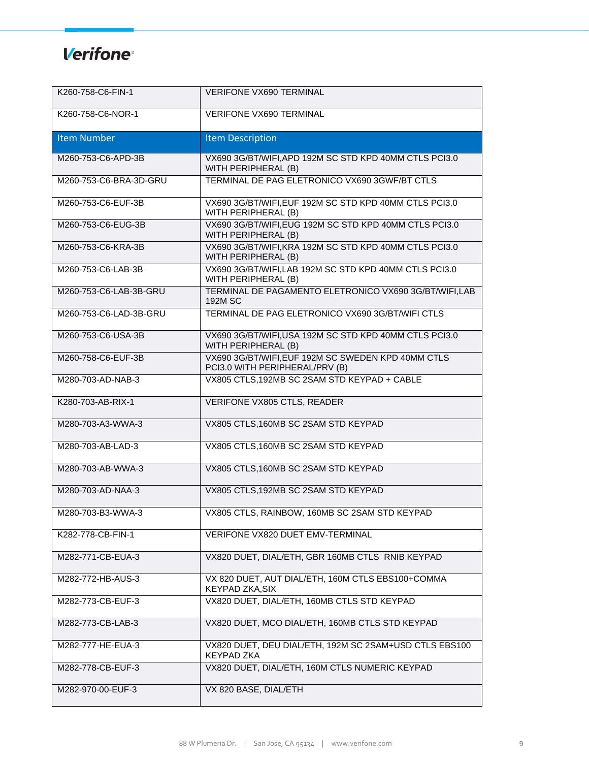| K260-758-C6-FIN-1      | VERIFONE VX690 TERMINAL                                                              |
|------------------------|--------------------------------------------------------------------------------------|
| K260-758-C6-NOR-1      | <b>VERIFONE VX690 TERMINAL</b>                                                       |
| <b>Item Number</b>     | <b>Item Description</b>                                                              |
| M260-753-C6-APD-3B     | VX690 3G/BT/WIFI, APD 192M SC STD KPD 40MM CTLS PCI3.0<br>WITH PERIPHERAL (B)        |
| M260-753-C6-BRA-3D-GRU | TERMINAL DE PAG ELETRONICO VX690 3GWF/BT CTLS                                        |
| M260-753-C6-EUF-3B     | VX690 3G/BT/WIFI, EUF 192M SC STD KPD 40MM CTLS PCI3.0<br>WITH PERIPHERAL (B)        |
| M260-753-C6-EUG-3B     | VX690 3G/BT/WIFI, EUG 192M SC STD KPD 40MM CTLS PCI3.0<br>WITH PERIPHERAL (B)        |
| M260-753-C6-KRA-3B     | VX690 3G/BT/WIFI, KRA 192M SC STD KPD 40MM CTLS PCI3.0<br>WITH PERIPHERAL (B)        |
| M260-753-C6-LAB-3B     | VX690 3G/BT/WIFI,LAB 192M SC STD KPD 40MM CTLS PCI3.0<br>WITH PERIPHERAL (B)         |
| M260-753-C6-LAB-3B-GRU | TERMINAL DE PAGAMENTO ELETRONICO VX690 3G/BT/WIFI,LAB<br>192M SC                     |
| M260-753-C6-LAD-3B-GRU | TERMINAL DE PAG ELETRONICO VX690 3G/BT/WIFI CTLS                                     |
| M260-753-C6-USA-3B     | VX690 3G/BT/WIFI, USA 192M SC STD KPD 40MM CTLS PCI3.0<br>WITH PERIPHERAL (B)        |
| M260-758-C6-EUF-3B     | VX690 3G/BT/WIFI, EUF 192M SC SWEDEN KPD 40MM CTLS<br>PCI3.0 WITH PERIPHERAL/PRV (B) |
| M280-703-AD-NAB-3      | VX805 CTLS, 192MB SC 2SAM STD KEYPAD + CABLE                                         |
| K280-703-AB-RIX-1      | VERIFONE VX805 CTLS, READER                                                          |
| M280-703-A3-WWA-3      | VX805 CTLS, 160MB SC 2SAM STD KEYPAD                                                 |
| M280-703-AB-LAD-3      | VX805 CTLS, 160MB SC 2SAM STD KEYPAD                                                 |
| M280-703-AB-WWA-3      | VX805 CTLS, 160MB SC 2SAM STD KEYPAD                                                 |
| M280-703-AD-NAA-3      | VX805 CTLS, 192MB SC 2SAM STD KEYPAD                                                 |
| M280-703-B3-WWA-3      | VX805 CTLS, RAINBOW, 160MB SC 2SAM STD KEYPAD                                        |
| K282-778-CB-FIN-1      | VERIFONE VX820 DUET EMV-TERMINAL                                                     |
| M282-771-CB-EUA-3      | VX820 DUET, DIAL/ETH, GBR 160MB CTLS RNIB KEYPAD                                     |
| M282-772-HB-AUS-3      | VX 820 DUET, AUT DIAL/ETH, 160M CTLS EBS100+COMMA<br><b>KEYPAD ZKA.SIX</b>           |
| M282-773-CB-EUF-3      | VX820 DUET, DIAL/ETH, 160MB CTLS STD KEYPAD                                          |
| M282-773-CB-LAB-3      | VX820 DUET, MCO DIAL/ETH, 160MB CTLS STD KEYPAD                                      |
| M282-777-HE-EUA-3      | VX820 DUET, DEU DIAL/ETH, 192M SC 2SAM+USD CTLS EBS100<br><b>KEYPAD ZKA</b>          |
| M282-778-CB-EUF-3      | VX820 DUET, DIAL/ETH, 160M CTLS NUMERIC KEYPAD                                       |
| M282-970-00-EUF-3      | VX 820 BASE, DIAL/ETH                                                                |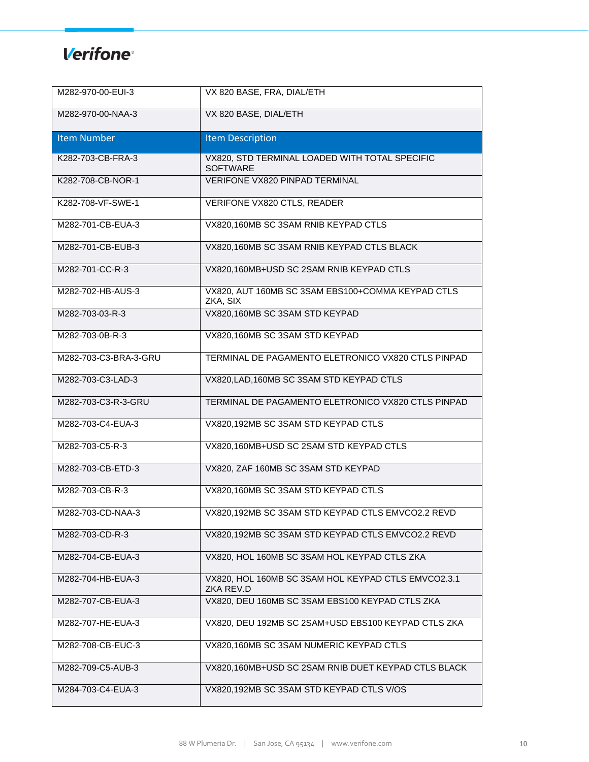| M282-970-00-EUI-3     | VX 820 BASE, FRA, DIAL/ETH                                        |
|-----------------------|-------------------------------------------------------------------|
| M282-970-00-NAA-3     | VX 820 BASE, DIAL/ETH                                             |
| <b>Item Number</b>    | <b>Item Description</b>                                           |
| K282-703-CB-FRA-3     | VX820, STD TERMINAL LOADED WITH TOTAL SPECIFIC<br><b>SOFTWARE</b> |
| K282-708-CB-NOR-1     | <b>VERIFONE VX820 PINPAD TERMINAL</b>                             |
| K282-708-VF-SWE-1     | VERIFONE VX820 CTLS, READER                                       |
| M282-701-CB-EUA-3     | VX820,160MB SC 3SAM RNIB KEYPAD CTLS                              |
| M282-701-CB-EUB-3     | VX820,160MB SC 3SAM RNIB KEYPAD CTLS BLACK                        |
| M282-701-CC-R-3       | VX820,160MB+USD SC 2SAM RNIB KEYPAD CTLS                          |
| M282-702-HB-AUS-3     | VX820, AUT 160MB SC 3SAM EBS100+COMMA KEYPAD CTLS<br>ZKA, SIX     |
| M282-703-03-R-3       | VX820,160MB SC 3SAM STD KEYPAD                                    |
| M282-703-0B-R-3       | VX820,160MB SC 3SAM STD KEYPAD                                    |
| M282-703-C3-BRA-3-GRU | TERMINAL DE PAGAMENTO ELETRONICO VX820 CTLS PINPAD                |
| M282-703-C3-LAD-3     | VX820, LAD, 160MB SC 3SAM STD KEYPAD CTLS                         |
| M282-703-C3-R-3-GRU   | TERMINAL DE PAGAMENTO ELETRONICO VX820 CTLS PINPAD                |
| M282-703-C4-EUA-3     | VX820,192MB SC 3SAM STD KEYPAD CTLS                               |
| M282-703-C5-R-3       | VX820,160MB+USD SC 2SAM STD KEYPAD CTLS                           |
| M282-703-CB-ETD-3     | VX820, ZAF 160MB SC 3SAM STD KEYPAD                               |
| M282-703-CB-R-3       | VX820,160MB SC 3SAM STD KEYPAD CTLS                               |
| M282-703-CD-NAA-3     | VX820,192MB SC 3SAM STD KEYPAD CTLS EMVCO2.2 REVD                 |
| M282-703-CD-R-3       | VX820,192MB SC 3SAM STD KEYPAD CTLS EMVCO2.2 REVD                 |
| M282-704-CB-EUA-3     | VX820, HOL 160MB SC 3SAM HOL KEYPAD CTLS ZKA                      |
| M282-704-HB-EUA-3     | VX820, HOL 160MB SC 3SAM HOL KEYPAD CTLS EMVCO2.3.1<br>ZKA REV.D  |
| M282-707-CB-EUA-3     | VX820, DEU 160MB SC 3SAM EBS100 KEYPAD CTLS ZKA                   |
| M282-707-HE-EUA-3     | VX820, DEU 192MB SC 2SAM+USD EBS100 KEYPAD CTLS ZKA               |
| M282-708-CB-EUC-3     | VX820,160MB SC 3SAM NUMERIC KEYPAD CTLS                           |
| M282-709-C5-AUB-3     | VX820,160MB+USD SC 2SAM RNIB DUET KEYPAD CTLS BLACK               |
| M284-703-C4-EUA-3     | VX820,192MB SC 3SAM STD KEYPAD CTLS V/OS                          |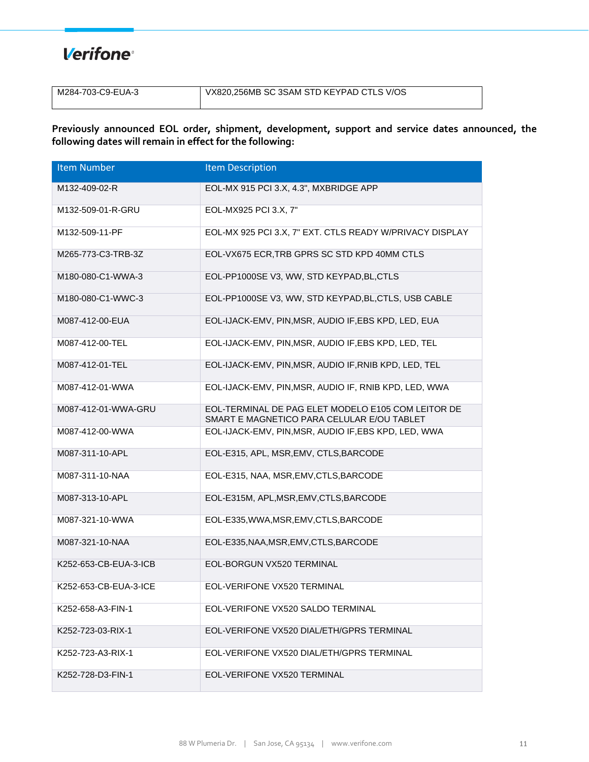#### **Verifone**<sup>®</sup>

| M284-703-C9-EUA-3 | VX820,256MB SC 3SAM STD KEYPAD CTLS V/OS |
|-------------------|------------------------------------------|
|                   |                                          |

**Previously announced EOL order, shipment, development, support and service dates announced, the following dates will remain in effect for the following:**

| <b>Item Number</b>    | <b>Item Description</b>                                                                          |
|-----------------------|--------------------------------------------------------------------------------------------------|
| M132-409-02-R         | EOL-MX 915 PCI 3.X, 4.3", MXBRIDGE APP                                                           |
| M132-509-01-R-GRU     | EOL-MX925 PCI 3.X, 7"                                                                            |
| M132-509-11-PF        | EOL-MX 925 PCI 3.X, 7" EXT. CTLS READY W/PRIVACY DISPLAY                                         |
| M265-773-C3-TRB-3Z    | EOL-VX675 ECR, TRB GPRS SC STD KPD 40MM CTLS                                                     |
| M180-080-C1-WWA-3     | EOL-PP1000SE V3, WW, STD KEYPAD, BL, CTLS                                                        |
| M180-080-C1-WWC-3     | EOL-PP1000SE V3, WW, STD KEYPAD, BL, CTLS, USB CABLE                                             |
| M087-412-00-EUA       | EOL-IJACK-EMV, PIN, MSR, AUDIO IF, EBS KPD, LED, EUA                                             |
| M087-412-00-TEL       | EOL-IJACK-EMV, PIN, MSR, AUDIO IF, EBS KPD, LED, TEL                                             |
| M087-412-01-TEL       | EOL-IJACK-EMV, PIN, MSR, AUDIO IF, RNIB KPD, LED, TEL                                            |
| M087-412-01-WWA       | EOL-IJACK-EMV, PIN, MSR, AUDIO IF, RNIB KPD, LED, WWA                                            |
| M087-412-01-WWA-GRU   | EOL-TERMINAL DE PAG ELET MODELO E105 COM LEITOR DE<br>SMART E MAGNETICO PARA CELULAR E/OU TABLET |
| M087-412-00-WWA       | EOL-IJACK-EMV, PIN, MSR, AUDIO IF, EBS KPD, LED, WWA                                             |
| M087-311-10-APL       | EOL-E315, APL, MSR, EMV, CTLS, BARCODE                                                           |
| M087-311-10-NAA       | EOL-E315, NAA, MSR, EMV, CTLS, BARCODE                                                           |
| M087-313-10-APL       | EOL-E315M, APL, MSR, EMV, CTLS, BARCODE                                                          |
| M087-321-10-WWA       | EOL-E335, WWA, MSR, EMV, CTLS, BARCODE                                                           |
| M087-321-10-NAA       | EOL-E335, NAA, MSR, EMV, CTLS, BARCODE                                                           |
| K252-653-CB-EUA-3-ICB | EOL-BORGUN VX520 TERMINAL                                                                        |
| K252-653-CB-EUA-3-ICE | EOL-VERIFONE VX520 TERMINAL                                                                      |
| K252-658-A3-FIN-1     | EOL-VERIFONE VX520 SALDO TERMINAL                                                                |
| K252-723-03-RIX-1     | EOL-VERIFONE VX520 DIAL/ETH/GPRS TERMINAL                                                        |
| K252-723-A3-RIX-1     | EOL-VERIFONE VX520 DIAL/ETH/GPRS TERMINAL                                                        |
| K252-728-D3-FIN-1     | EOL-VERIFONE VX520 TERMINAL                                                                      |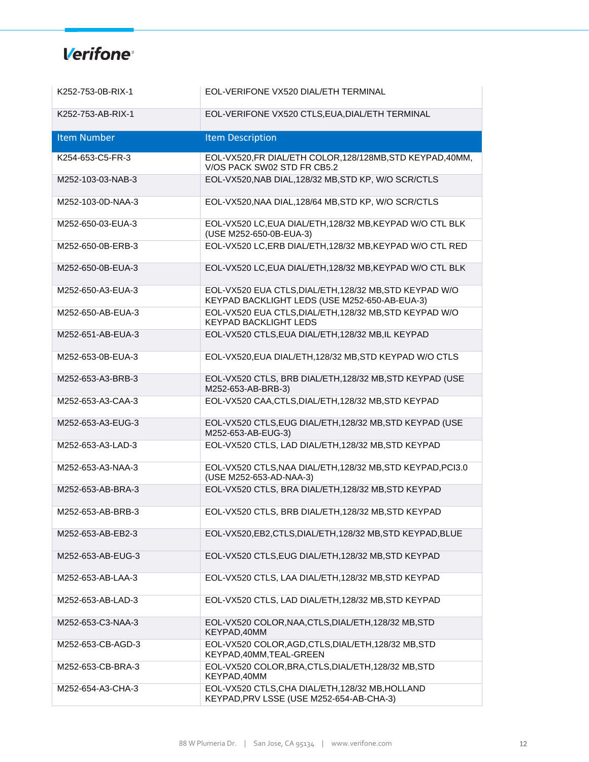| K252-753-0B-RIX-1  | EOL-VERIFONE VX520 DIAL/ETH TERMINAL                                                                     |
|--------------------|----------------------------------------------------------------------------------------------------------|
| K252-753-AB-RIX-1  | EOL-VERIFONE VX520 CTLS, EUA, DIAL/ETH TERMINAL                                                          |
| <b>Item Number</b> | <b>Item Description</b>                                                                                  |
| K254-653-C5-FR-3   | EOL-VX520, FR DIAL/ETH COLOR, 128/128MB, STD KEYPAD, 40MM,<br>V/OS PACK SW02 STD FR CB5.2                |
| M252-103-03-NAB-3  | EOL-VX520, NAB DIAL, 128/32 MB, STD KP, W/O SCR/CTLS                                                     |
| M252-103-0D-NAA-3  | EOL-VX520, NAA DIAL, 128/64 MB, STD KP, W/O SCR/CTLS                                                     |
| M252-650-03-EUA-3  | EOL-VX520 LC, EUA DIAL/ETH, 128/32 MB, KEYPAD W/O CTL BLK<br>(USE M252-650-0B-EUA-3)                     |
| M252-650-0B-ERB-3  | EOL-VX520 LC, ERB DIAL/ETH, 128/32 MB, KEYPAD W/O CTL RED                                                |
| M252-650-0B-EUA-3  | EOL-VX520 LC, EUA DIAL/ETH, 128/32 MB, KEYPAD W/O CTL BLK                                                |
| M252-650-A3-EUA-3  | EOL-VX520 EUA CTLS, DIAL/ETH, 128/32 MB, STD KEYPAD W/O<br>KEYPAD BACKLIGHT LEDS (USE M252-650-AB-EUA-3) |
| M252-650-AB-EUA-3  | EOL-VX520 EUA CTLS, DIAL/ETH, 128/32 MB, STD KEYPAD W/O<br><b>KEYPAD BACKLIGHT LEDS</b>                  |
| M252-651-AB-EUA-3  | EOL-VX520 CTLS, EUA DIAL/ETH, 128/32 MB, IL KEYPAD                                                       |
| M252-653-0B-EUA-3  | EOL-VX520, EUA DIAL/ETH, 128/32 MB, STD KEYPAD W/O CTLS                                                  |
| M252-653-A3-BRB-3  | EOL-VX520 CTLS, BRB DIAL/ETH, 128/32 MB, STD KEYPAD (USE<br>M252-653-AB-BRB-3)                           |
| M252-653-A3-CAA-3  | EOL-VX520 CAA, CTLS, DIAL/ETH, 128/32 MB, STD KEYPAD                                                     |
| M252-653-A3-EUG-3  | EOL-VX520 CTLS, EUG DIAL/ETH, 128/32 MB, STD KEYPAD (USE<br>M252-653-AB-EUG-3)                           |
| M252-653-A3-LAD-3  | EOL-VX520 CTLS, LAD DIAL/ETH, 128/32 MB, STD KEYPAD                                                      |
| M252-653-A3-NAA-3  | EOL-VX520 CTLS, NAA DIAL/ETH, 128/32 MB, STD KEYPAD, PCI3.0<br>(USE M252-653-AD-NAA-3)                   |
| M252-653-AB-BRA-3  | EOL-VX520 CTLS, BRA DIAL/ETH, 128/32 MB, STD KEYPAD                                                      |
| M252-653-AB-BRB-3  | EOL-VX520 CTLS, BRB DIAL/ETH, 128/32 MB, STD KEYPAD                                                      |
| M252-653-AB-EB2-3  | EOL-VX520, EB2, CTLS, DIAL/ETH, 128/32 MB, STD KEYPAD, BLUE                                              |
| M252-653-AB-EUG-3  | EOL-VX520 CTLS, EUG DIAL/ETH, 128/32 MB, STD KEYPAD                                                      |
| M252-653-AB-LAA-3  | EOL-VX520 CTLS, LAA DIAL/ETH, 128/32 MB, STD KEYPAD                                                      |
| M252-653-AB-LAD-3  | EOL-VX520 CTLS, LAD DIAL/ETH, 128/32 MB, STD KEYPAD                                                      |
| M252-653-C3-NAA-3  | EOL-VX520 COLOR, NAA, CTLS, DIAL/ETH, 128/32 MB, STD<br>KEYPAD,40MM                                      |
| M252-653-CB-AGD-3  | EOL-VX520 COLOR, AGD, CTLS, DIAL/ETH, 128/32 MB, STD<br>KEYPAD, 40MM, TEAL-GREEN                         |
| M252-653-CB-BRA-3  | EOL-VX520 COLOR, BRA, CTLS, DIAL/ETH, 128/32 MB, STD<br>KEYPAD,40MM                                      |
| M252-654-A3-CHA-3  | EOL-VX520 CTLS, CHA DIAL/ETH, 128/32 MB, HOLLAND<br>KEYPAD, PRV LSSE (USE M252-654-AB-CHA-3)             |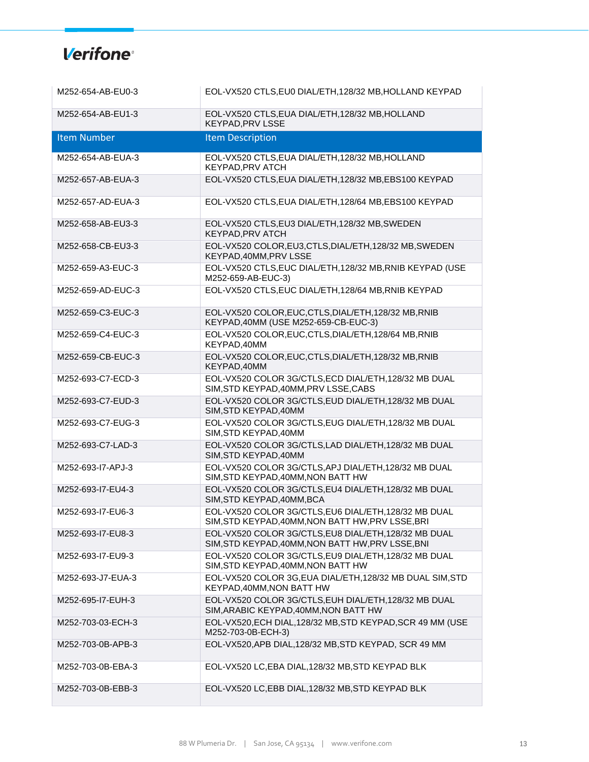| M252-654-AB-EU0-3  | EOL-VX520 CTLS, EU0 DIAL/ETH, 128/32 MB, HOLLAND KEYPAD                                                    |
|--------------------|------------------------------------------------------------------------------------------------------------|
| M252-654-AB-EU1-3  | EOL-VX520 CTLS, EUA DIAL/ETH, 128/32 MB, HOLLAND<br><b>KEYPAD, PRV LSSE</b>                                |
| <b>Item Number</b> | <b>Item Description</b>                                                                                    |
| M252-654-AB-EUA-3  | EOL-VX520 CTLS, EUA DIAL/ETH, 128/32 MB, HOLLAND<br>KEYPAD, PRV ATCH                                       |
| M252-657-AB-EUA-3  | EOL-VX520 CTLS, EUA DIAL/ETH, 128/32 MB, EBS100 KEYPAD                                                     |
| M252-657-AD-EUA-3  | EOL-VX520 CTLS, EUA DIAL/ETH, 128/64 MB, EBS100 KEYPAD                                                     |
| M252-658-AB-EU3-3  | EOL-VX520 CTLS, EU3 DIAL/ETH, 128/32 MB, SWEDEN<br>KEYPAD, PRV ATCH                                        |
| M252-658-CB-EU3-3  | EOL-VX520 COLOR,EU3,CTLS,DIAL/ETH,128/32 MB,SWEDEN<br>KEYPAD, 40MM, PRV LSSE                               |
| M252-659-A3-EUC-3  | EOL-VX520 CTLS, EUC DIAL/ETH, 128/32 MB, RNIB KEYPAD (USE<br>M252-659-AB-EUC-3)                            |
| M252-659-AD-EUC-3  | EOL-VX520 CTLS, EUC DIAL/ETH, 128/64 MB, RNIB KEYPAD                                                       |
| M252-659-C3-EUC-3  | EOL-VX520 COLOR, EUC, CTLS, DIAL/ETH, 128/32 MB, RNIB<br>KEYPAD, 40MM (USE M252-659-CB-EUC-3)              |
| M252-659-C4-EUC-3  | EOL-VX520 COLOR, EUC, CTLS, DIAL/ETH, 128/64 MB, RNIB<br>KEYPAD, 40MM                                      |
| M252-659-CB-EUC-3  | EOL-VX520 COLOR, EUC, CTLS, DIAL/ETH, 128/32 MB, RNIB<br>KEYPAD, 40MM                                      |
| M252-693-C7-ECD-3  | EOL-VX520 COLOR 3G/CTLS, ECD DIAL/ETH, 128/32 MB DUAL<br>SIM, STD KEYPAD, 40MM, PRV LSSE, CABS             |
| M252-693-C7-EUD-3  | EOL-VX520 COLOR 3G/CTLS, EUD DIAL/ETH, 128/32 MB DUAL<br>SIM, STD KEYPAD, 40MM                             |
| M252-693-C7-EUG-3  | EOL-VX520 COLOR 3G/CTLS, EUG DIAL/ETH, 128/32 MB DUAL<br>SIM, STD KEYPAD, 40MM                             |
| M252-693-C7-LAD-3  | EOL-VX520 COLOR 3G/CTLS, LAD DIAL/ETH, 128/32 MB DUAL<br>SIM, STD KEYPAD, 40MM                             |
| M252-693-I7-APJ-3  | EOL-VX520 COLOR 3G/CTLS, APJ DIAL/ETH, 128/32 MB DUAL<br>SIM, STD KEYPAD, 40MM, NON BATT HW                |
| M252-693-I7-EU4-3  | EOL-VX520 COLOR 3G/CTLS, EU4 DIAL/ETH, 128/32 MB DUAL<br>SIM, STD KEYPAD, 40MM, BCA                        |
| M252-693-I7-EU6-3  | EOL-VX520 COLOR 3G/CTLS, EU6 DIAL/ETH, 128/32 MB DUAL<br>SIM, STD KEYPAD, 40MM, NON BATT HW, PRV LSSE, BRI |
| M252-693-I7-EU8-3  | EOL-VX520 COLOR 3G/CTLS, EU8 DIAL/ETH, 128/32 MB DUAL<br>SIM, STD KEYPAD, 40MM, NON BATT HW, PRV LSSE, BNI |
| M252-693-I7-EU9-3  | EOL-VX520 COLOR 3G/CTLS, EU9 DIAL/ETH, 128/32 MB DUAL<br>SIM, STD KEYPAD, 40MM, NON BATT HW                |
| M252-693-J7-EUA-3  | EOL-VX520 COLOR 3G, EUA DIAL/ETH, 128/32 MB DUAL SIM, STD<br>KEYPAD, 40MM, NON BATT HW                     |
| M252-695-I7-EUH-3  | EOL-VX520 COLOR 3G/CTLS, EUH DIAL/ETH, 128/32 MB DUAL<br>SIM, ARABIC KEYPAD, 40MM, NON BATT HW             |
| M252-703-03-ECH-3  | EOL-VX520, ECH DIAL, 128/32 MB, STD KEYPAD, SCR 49 MM (USE<br>M252-703-0B-ECH-3)                           |
| M252-703-0B-APB-3  | EOL-VX520, APB DIAL, 128/32 MB, STD KEYPAD, SCR 49 MM                                                      |
| M252-703-0B-EBA-3  | EOL-VX520 LC, EBA DIAL, 128/32 MB, STD KEYPAD BLK                                                          |
| M252-703-0B-EBB-3  | EOL-VX520 LC, EBB DIAL, 128/32 MB, STD KEYPAD BLK                                                          |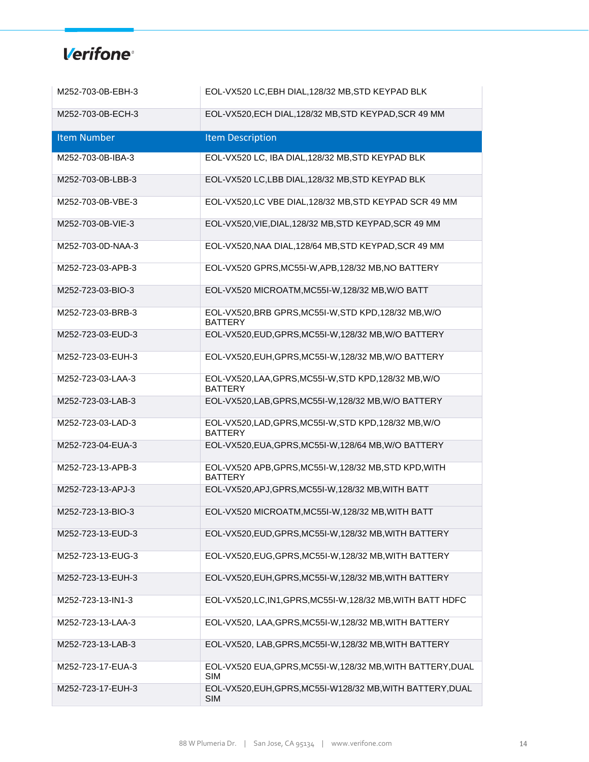| M252-703-0B-EBH-3  | EOL-VX520 LC, EBH DIAL, 128/32 MB, STD KEYPAD BLK                         |
|--------------------|---------------------------------------------------------------------------|
| M252-703-0B-ECH-3  | EOL-VX520, ECH DIAL, 128/32 MB, STD KEYPAD, SCR 49 MM                     |
| <b>Item Number</b> | <b>Item Description</b>                                                   |
| M252-703-0B-IBA-3  | EOL-VX520 LC, IBA DIAL, 128/32 MB, STD KEYPAD BLK                         |
| M252-703-0B-LBB-3  | EOL-VX520 LC, LBB DIAL, 128/32 MB, STD KEYPAD BLK                         |
| M252-703-0B-VBE-3  | EOL-VX520,LC VBE DIAL, 128/32 MB, STD KEYPAD SCR 49 MM                    |
| M252-703-0B-VIE-3  | EOL-VX520, VIE, DIAL, 128/32 MB, STD KEYPAD, SCR 49 MM                    |
| M252-703-0D-NAA-3  | EOL-VX520, NAA DIAL, 128/64 MB, STD KEYPAD, SCR 49 MM                     |
| M252-723-03-APB-3  | EOL-VX520 GPRS, MC55I-W, APB, 128/32 MB, NO BATTERY                       |
| M252-723-03-BIO-3  | EOL-VX520 MICROATM, MC55I-W, 128/32 MB, W/O BATT                          |
| M252-723-03-BRB-3  | EOL-VX520, BRB GPRS, MC55I-W, STD KPD, 128/32 MB, W/O<br><b>BATTERY</b>   |
| M252-723-03-EUD-3  | EOL-VX520, EUD, GPRS, MC55I-W, 128/32 MB, W/O BATTERY                     |
| M252-723-03-EUH-3  | EOL-VX520, EUH, GPRS, MC55I-W, 128/32 MB, W/O BATTERY                     |
| M252-723-03-LAA-3  | EOL-VX520, LAA, GPRS, MC55I-W, STD KPD, 128/32 MB, W/O<br><b>BATTERY</b>  |
| M252-723-03-LAB-3  | EOL-VX520, LAB, GPRS, MC55I-W, 128/32 MB, W/O BATTERY                     |
| M252-723-03-LAD-3  | EOL-VX520, LAD, GPRS, MC55I-W, STD KPD, 128/32 MB, W/O<br><b>BATTERY</b>  |
| M252-723-04-EUA-3  | EOL-VX520, EUA, GPRS, MC55I-W, 128/64 MB, W/O BATTERY                     |
| M252-723-13-APB-3  | EOL-VX520 APB, GPRS, MC55I-W, 128/32 MB, STD KPD, WITH<br><b>BATTERY</b>  |
| M252-723-13-APJ-3  | EOL-VX520, APJ, GPRS, MC55I-W, 128/32 MB, WITH BATT                       |
| M252-723-13-BIO-3  | EOL-VX520 MICROATM, MC55I-W, 128/32 MB, WITH BATT                         |
| M252-723-13-EUD-3  | EOL-VX520, EUD, GPRS, MC55I-W, 128/32 MB, WITH BATTERY                    |
| M252-723-13-EUG-3  | EOL-VX520, EUG, GPRS, MC55I-W, 128/32 MB, WITH BATTERY                    |
| M252-723-13-EUH-3  | EOL-VX520, EUH, GPRS, MC55I-W, 128/32 MB, WITH BATTERY                    |
| M252-723-13-IN1-3  | EOL-VX520, LC, IN1, GPRS, MC55I-W, 128/32 MB, WITH BATT HDFC              |
| M252-723-13-LAA-3  | EOL-VX520, LAA, GPRS, MC55I-W, 128/32 MB, WITH BATTERY                    |
| M252-723-13-LAB-3  | EOL-VX520, LAB, GPRS, MC55I-W, 128/32 MB, WITH BATTERY                    |
| M252-723-17-EUA-3  | EOL-VX520 EUA, GPRS, MC55I-W, 128/32 MB, WITH BATTERY, DUAL<br><b>SIM</b> |
| M252-723-17-EUH-3  | EOL-VX520, EUH, GPRS, MC55I-W128/32 MB, WITH BATTERY, DUAL<br><b>SIM</b>  |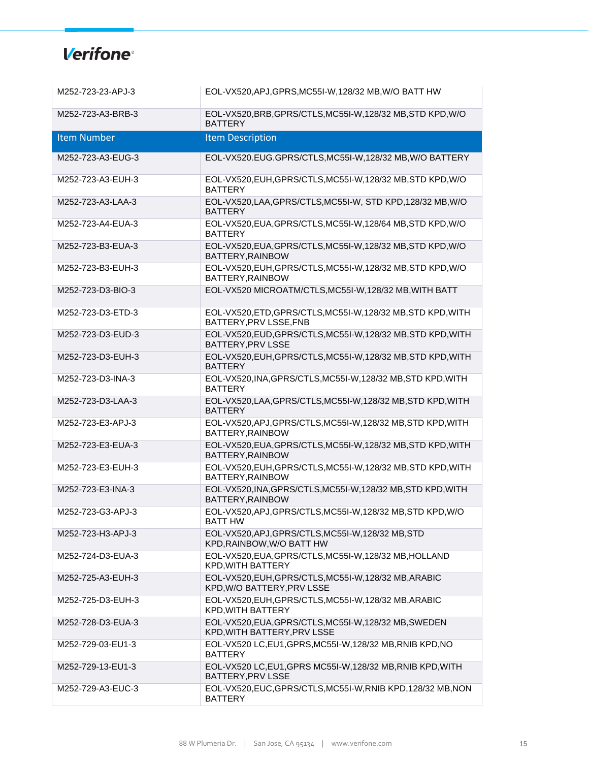| M252-723-23-APJ-3  | EOL-VX520, APJ, GPRS, MC55I-W, 128/32 MB, W/O BATT HW                                   |
|--------------------|-----------------------------------------------------------------------------------------|
| M252-723-A3-BRB-3  | EOL-VX520, BRB, GPRS/CTLS, MC55I-W, 128/32 MB, STD KPD, W/O<br><b>BATTERY</b>           |
| <b>Item Number</b> | <b>Item Description</b>                                                                 |
| M252-723-A3-EUG-3  | EOL-VX520.EUG.GPRS/CTLS, MC55I-W, 128/32 MB, W/O BATTERY                                |
| M252-723-A3-EUH-3  | EOL-VX520, EUH, GPRS/CTLS, MC55I-W, 128/32 MB, STD KPD, W/O<br><b>BATTERY</b>           |
| M252-723-A3-LAA-3  | EOL-VX520, LAA, GPRS/CTLS, MC55I-W, STD KPD, 128/32 MB, W/O<br><b>BATTERY</b>           |
| M252-723-A4-EUA-3  | EOL-VX520, EUA, GPRS/CTLS, MC55I-W, 128/64 MB, STD KPD, W/O<br><b>BATTERY</b>           |
| M252-723-B3-EUA-3  | EOL-VX520, EUA, GPRS/CTLS, MC55I-W, 128/32 MB, STD KPD, W/O<br>BATTERY, RAINBOW         |
| M252-723-B3-EUH-3  | EOL-VX520, EUH, GPRS/CTLS, MC55I-W, 128/32 MB, STD KPD, W/O<br>BATTERY.RAINBOW          |
| M252-723-D3-BIO-3  | EOL-VX520 MICROATM/CTLS, MC55I-W, 128/32 MB, WITH BATT                                  |
| M252-723-D3-ETD-3  | EOL-VX520, ETD, GPRS/CTLS, MC55I-W, 128/32 MB, STD KPD, WITH<br>BATTERY, PRV LSSE, FNB  |
| M252-723-D3-EUD-3  | EOL-VX520, EUD, GPRS/CTLS, MC55I-W, 128/32 MB, STD KPD, WITH<br><b>BATTERY.PRV LSSE</b> |
| M252-723-D3-EUH-3  | EOL-VX520, EUH, GPRS/CTLS, MC55I-W, 128/32 MB, STD KPD, WITH<br><b>BATTERY</b>          |
| M252-723-D3-INA-3  | EOL-VX520, INA, GPRS/CTLS, MC55I-W, 128/32 MB, STD KPD, WITH<br><b>BATTERY</b>          |
| M252-723-D3-LAA-3  | EOL-VX520, LAA, GPRS/CTLS, MC55I-W, 128/32 MB, STD KPD, WITH<br><b>BATTERY</b>          |
| M252-723-E3-APJ-3  | EOL-VX520, APJ, GPRS/CTLS, MC55I-W, 128/32 MB, STD KPD, WITH<br>BATTERY, RAINBOW        |
| M252-723-E3-EUA-3  | EOL-VX520, EUA, GPRS/CTLS, MC55I-W, 128/32 MB, STD KPD, WITH<br>BATTERY, RAINBOW        |
| M252-723-E3-EUH-3  | EOL-VX520, EUH, GPRS/CTLS, MC55I-W, 128/32 MB, STD KPD, WITH<br>BATTERY, RAINBOW        |
| M252-723-E3-INA-3  | EOL-VX520, INA, GPRS/CTLS, MC55I-W, 128/32 MB, STD KPD, WITH<br>BATTERY, RAINBOW        |
| M252-723-G3-APJ-3  | EOL-VX520, APJ, GPRS/CTLS, MC55I-W, 128/32 MB, STD KPD, W/O<br><b>BATT HW</b>           |
| M252-723-H3-APJ-3  | EOL-VX520, APJ, GPRS/CTLS, MC55I-W, 128/32 MB, STD<br>KPD, RAINBOW, W/O BATT HW         |
| M252-724-D3-EUA-3  | EOL-VX520, EUA, GPRS/CTLS, MC55I-W, 128/32 MB, HOLLAND<br><b>KPD, WITH BATTERY</b>      |
| M252-725-A3-EUH-3  | EOL-VX520, EUH, GPRS/CTLS, MC55I-W, 128/32 MB, ARABIC<br>KPD, W/O BATTERY, PRV LSSE     |
| M252-725-D3-EUH-3  | EOL-VX520, EUH, GPRS/CTLS, MC55I-W, 128/32 MB, ARABIC<br><b>KPD, WITH BATTERY</b>       |
| M252-728-D3-EUA-3  | EOL-VX520, EUA, GPRS/CTLS, MC55I-W, 128/32 MB, SWEDEN<br>KPD, WITH BATTERY, PRV LSSE    |
| M252-729-03-EU1-3  | EOL-VX520 LC, EU1, GPRS, MC55I-W, 128/32 MB, RNIB KPD, NO<br><b>BATTERY</b>             |
| M252-729-13-EU1-3  | EOL-VX520 LC, EU1, GPRS MC55I-W, 128/32 MB, RNIB KPD, WITH<br>BATTERY, PRV LSSE         |
| M252-729-A3-EUC-3  | EOL-VX520, EUC, GPRS/CTLS, MC55I-W, RNIB KPD, 128/32 MB, NON<br><b>BATTERY</b>          |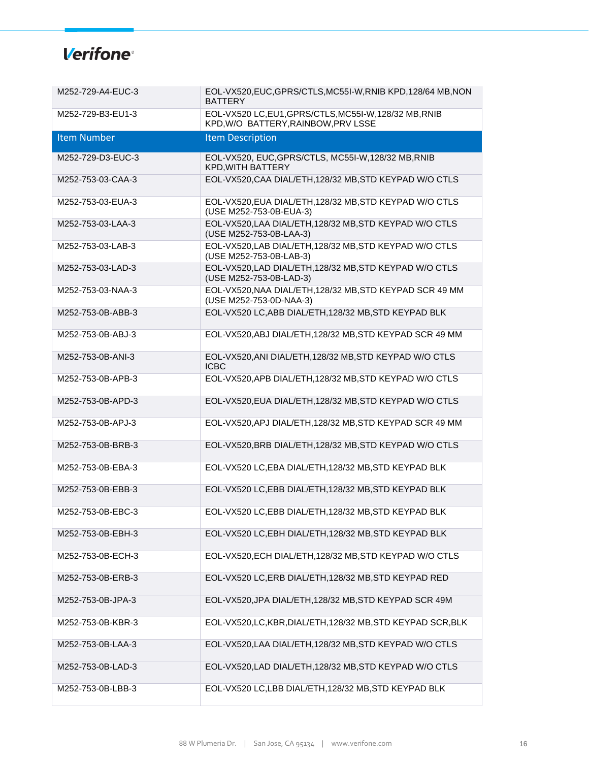| M252-729-A4-EUC-3  | EOL-VX520, EUC, GPRS/CTLS, MC55I-W, RNIB KPD, 128/64 MB, NON<br><b>BATTERY</b>           |
|--------------------|------------------------------------------------------------------------------------------|
| M252-729-B3-EU1-3  | EOL-VX520 LC,EU1,GPRS/CTLS,MC55I-W,128/32 MB,RNIB<br>KPD, W/O BATTERY, RAINBOW, PRV LSSE |
| <b>Item Number</b> | <b>Item Description</b>                                                                  |
| M252-729-D3-EUC-3  | EOL-VX520, EUC, GPRS/CTLS, MC55I-W, 128/32 MB, RNIB<br>KPD, WITH BATTERY                 |
| M252-753-03-CAA-3  | EOL-VX520, CAA DIAL/ETH, 128/32 MB, STD KEYPAD W/O CTLS                                  |
| M252-753-03-EUA-3  | EOL-VX520, EUA DIAL/ETH, 128/32 MB, STD KEYPAD W/O CTLS<br>(USE M252-753-0B-EUA-3)       |
| M252-753-03-LAA-3  | EOL-VX520, LAA DIAL/ETH, 128/32 MB, STD KEYPAD W/O CTLS<br>(USE M252-753-0B-LAA-3)       |
| M252-753-03-LAB-3  | EOL-VX520, LAB DIAL/ETH, 128/32 MB, STD KEYPAD W/O CTLS<br>(USE M252-753-0B-LAB-3)       |
| M252-753-03-LAD-3  | EOL-VX520, LAD DIAL/ETH, 128/32 MB, STD KEYPAD W/O CTLS<br>(USE M252-753-0B-LAD-3)       |
| M252-753-03-NAA-3  | EOL-VX520, NAA DIAL/ETH, 128/32 MB, STD KEYPAD SCR 49 MM<br>(USE M252-753-0D-NAA-3)      |
| M252-753-0B-ABB-3  | EOL-VX520 LC, ABB DIAL/ETH, 128/32 MB, STD KEYPAD BLK                                    |
| M252-753-0B-ABJ-3  | EOL-VX520, ABJ DIAL/ETH, 128/32 MB, STD KEYPAD SCR 49 MM                                 |
| M252-753-0B-ANI-3  | EOL-VX520, ANI DIAL/ETH, 128/32 MB, STD KEYPAD W/O CTLS<br><b>ICBC</b>                   |
| M252-753-0B-APB-3  | EOL-VX520, APB DIAL/ETH, 128/32 MB, STD KEYPAD W/O CTLS                                  |
| M252-753-0B-APD-3  | EOL-VX520, EUA DIAL/ETH, 128/32 MB, STD KEYPAD W/O CTLS                                  |
| M252-753-0B-APJ-3  | EOL-VX520, APJ DIAL/ETH, 128/32 MB, STD KEYPAD SCR 49 MM                                 |
| M252-753-0B-BRB-3  | EOL-VX520, BRB DIAL/ETH, 128/32 MB, STD KEYPAD W/O CTLS                                  |
| M252-753-0B-EBA-3  | EOL-VX520 LC, EBA DIAL/ETH, 128/32 MB, STD KEYPAD BLK                                    |
| M252-753-0B-EBB-3  | EOL-VX520 LC, EBB DIAL/ETH, 128/32 MB, STD KEYPAD BLK                                    |
| M252-753-0B-EBC-3  | EOL-VX520 LC, EBB DIAL/ETH, 128/32 MB, STD KEYPAD BLK                                    |
| M252-753-0B-EBH-3  | EOL-VX520 LC, EBH DIAL/ETH, 128/32 MB, STD KEYPAD BLK                                    |
| M252-753-0B-ECH-3  | EOL-VX520, ECH DIAL/ETH, 128/32 MB, STD KEYPAD W/O CTLS                                  |
| M252-753-0B-ERB-3  | EOL-VX520 LC, ERB DIAL/ETH, 128/32 MB, STD KEYPAD RED                                    |
| M252-753-0B-JPA-3  | EOL-VX520, JPA DIAL/ETH, 128/32 MB, STD KEYPAD SCR 49M                                   |
| M252-753-0B-KBR-3  | EOL-VX520, LC, KBR, DIAL/ETH, 128/32 MB, STD KEYPAD SCR, BLK                             |
| M252-753-0B-LAA-3  | EOL-VX520, LAA DIAL/ETH, 128/32 MB, STD KEYPAD W/O CTLS                                  |
| M252-753-0B-LAD-3  | EOL-VX520, LAD DIAL/ETH, 128/32 MB, STD KEYPAD W/O CTLS                                  |
| M252-753-0B-LBB-3  | EOL-VX520 LC,LBB DIAL/ETH,128/32 MB,STD KEYPAD BLK                                       |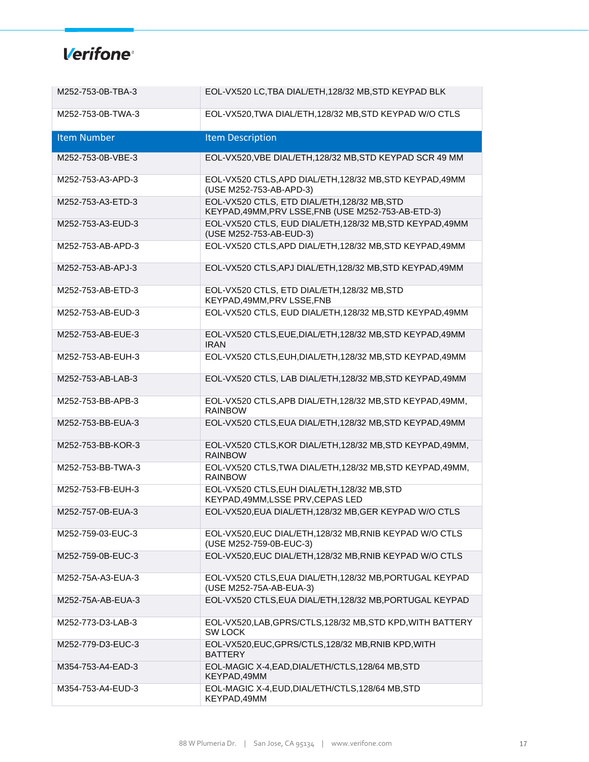| M252-753-0B-TBA-3  | EOL-VX520 LC, TBA DIAL/ETH, 128/32 MB, STD KEYPAD BLK                                               |
|--------------------|-----------------------------------------------------------------------------------------------------|
| M252-753-0B-TWA-3  | EOL-VX520, TWA DIAL/ETH, 128/32 MB, STD KEYPAD W/O CTLS                                             |
| <b>Item Number</b> | <b>Item Description</b>                                                                             |
| M252-753-0B-VBE-3  | EOL-VX520, VBE DIAL/ETH, 128/32 MB, STD KEYPAD SCR 49 MM                                            |
| M252-753-A3-APD-3  | EOL-VX520 CTLS, APD DIAL/ETH, 128/32 MB, STD KEYPAD, 49MM<br>(USE M252-753-AB-APD-3)                |
| M252-753-A3-ETD-3  | EOL-VX520 CTLS, ETD DIAL/ETH, 128/32 MB, STD<br>KEYPAD, 49MM, PRV LSSE, FNB (USE M252-753-AB-ETD-3) |
| M252-753-A3-EUD-3  | EOL-VX520 CTLS, EUD DIAL/ETH,128/32 MB,STD KEYPAD,49MM<br>(USE M252-753-AB-EUD-3)                   |
| M252-753-AB-APD-3  | EOL-VX520 CTLS, APD DIAL/ETH, 128/32 MB, STD KEYPAD, 49MM                                           |
| M252-753-AB-APJ-3  | EOL-VX520 CTLS, APJ DIAL/ETH, 128/32 MB, STD KEYPAD, 49MM                                           |
| M252-753-AB-ETD-3  | EOL-VX520 CTLS, ETD DIAL/ETH, 128/32 MB, STD<br>KEYPAD, 49MM, PRV LSSE, FNB                         |
| M252-753-AB-EUD-3  | EOL-VX520 CTLS, EUD DIAL/ETH, 128/32 MB, STD KEYPAD, 49MM                                           |
| M252-753-AB-EUE-3  | EOL-VX520 CTLS, EUE, DIAL/ETH, 128/32 MB, STD KEYPAD, 49MM<br><b>IRAN</b>                           |
| M252-753-AB-EUH-3  | EOL-VX520 CTLS, EUH, DIAL/ETH, 128/32 MB, STD KEYPAD, 49MM                                          |
| M252-753-AB-LAB-3  | EOL-VX520 CTLS, LAB DIAL/ETH, 128/32 MB, STD KEYPAD, 49MM                                           |
| M252-753-BB-APB-3  | EOL-VX520 CTLS, APB DIAL/ETH, 128/32 MB, STD KEYPAD, 49MM,<br><b>RAINBOW</b>                        |
| M252-753-BB-EUA-3  | EOL-VX520 CTLS, EUA DIAL/ETH, 128/32 MB, STD KEYPAD, 49MM                                           |
| M252-753-BB-KOR-3  | EOL-VX520 CTLS, KOR DIAL/ETH, 128/32 MB, STD KEYPAD, 49MM,<br><b>RAINBOW</b>                        |
| M252-753-BB-TWA-3  | EOL-VX520 CTLS, TWA DIAL/ETH, 128/32 MB, STD KEYPAD, 49MM,<br><b>RAINBOW</b>                        |
| M252-753-FB-EUH-3  | EOL-VX520 CTLS, EUH DIAL/ETH, 128/32 MB, STD<br>KEYPAD, 49MM, LSSE PRV, CEPAS LED                   |
| M252-757-0B-EUA-3  | EOL-VX520, EUA DIAL/ETH, 128/32 MB, GER KEYPAD W/O CTLS                                             |
| M252-759-03-EUC-3  | EOL-VX520, EUC DIAL/ETH, 128/32 MB, RNIB KEYPAD W/O CTLS<br>(USE M252-759-0B-EUC-3)                 |
| M252-759-0B-EUC-3  | EOL-VX520, EUC DIAL/ETH, 128/32 MB, RNIB KEYPAD W/O CTLS                                            |
| M252-75A-A3-EUA-3  | EOL-VX520 CTLS, EUA DIAL/ETH, 128/32 MB, PORTUGAL KEYPAD<br>(USE M252-75A-AB-EUA-3)                 |
| M252-75A-AB-EUA-3  | EOL-VX520 CTLS, EUA DIAL/ETH, 128/32 MB, PORTUGAL KEYPAD                                            |
| M252-773-D3-LAB-3  | EOL-VX520,LAB, GPRS/CTLS, 128/32 MB, STD KPD, WITH BATTERY<br><b>SW LOCK</b>                        |
| M252-779-D3-EUC-3  | EOL-VX520, EUC, GPRS/CTLS, 128/32 MB, RNIB KPD, WITH<br><b>BATTERY</b>                              |
| M354-753-A4-EAD-3  | EOL-MAGIC X-4, EAD, DIAL/ETH/CTLS, 128/64 MB, STD<br>KEYPAD, 49MM                                   |
| M354-753-A4-EUD-3  | EOL-MAGIC X-4, EUD, DIAL/ETH/CTLS, 128/64 MB, STD<br>KEYPAD,49MM                                    |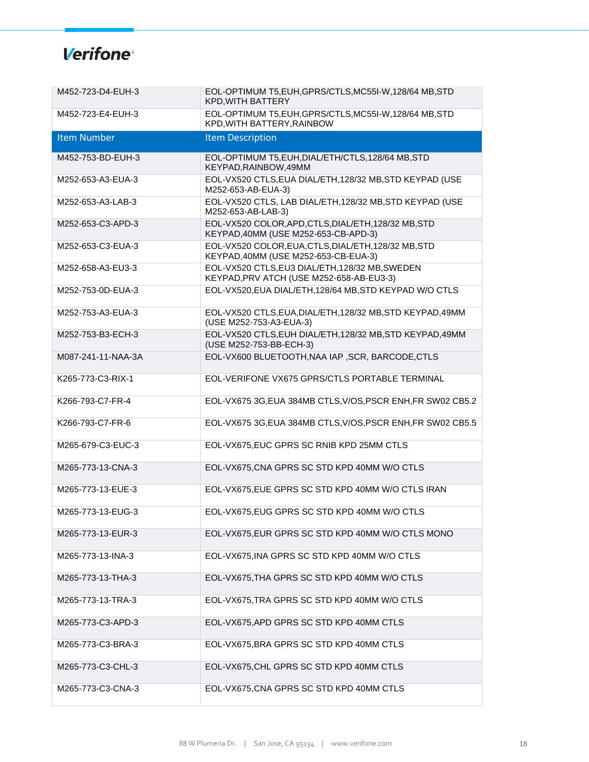| M452-723-D4-EUH-3  | EOL-OPTIMUM T5, EUH, GPRS/CTLS, MC55I-W, 128/64 MB, STD<br>KPD, WITH BATTERY                 |
|--------------------|----------------------------------------------------------------------------------------------|
| M452-723-E4-EUH-3  | EOL-OPTIMUM T5, EUH, GPRS/CTLS, MC55I-W, 128/64 MB, STD<br>KPD, WITH BATTERY, RAINBOW        |
| Item Number        | <b>Item Description</b>                                                                      |
| M452-753-BD-EUH-3  | EOL-OPTIMUM T5, EUH, DIAL/ETH/CTLS, 128/64 MB, STD<br>KEYPAD, RAINBOW, 49MM                  |
| M252-653-A3-EUA-3  | EOL-VX520 CTLS, EUA DIAL/ETH, 128/32 MB, STD KEYPAD (USE<br>M252-653-AB-EUA-3)               |
| M252-653-A3-LAB-3  | EOL-VX520 CTLS, LAB DIAL/ETH, 128/32 MB, STD KEYPAD (USE<br>M252-653-AB-LAB-3)               |
| M252-653-C3-APD-3  | EOL-VX520 COLOR, APD, CTLS, DIAL/ETH, 128/32 MB, STD<br>KEYPAD, 40MM (USE M252-653-CB-APD-3) |
| M252-653-C3-EUA-3  | EOL-VX520 COLOR, EUA, CTLS, DIAL/ETH, 128/32 MB, STD<br>KEYPAD, 40MM (USE M252-653-CB-EUA-3) |
| M252-658-A3-EU3-3  | EOL-VX520 CTLS, EU3 DIAL/ETH, 128/32 MB, SWEDEN<br>KEYPAD, PRV ATCH (USE M252-658-AB-EU3-3)  |
| M252-753-0D-EUA-3  | EOL-VX520, EUA DIAL/ETH, 128/64 MB, STD KEYPAD W/O CTLS                                      |
| M252-753-A3-EUA-3  | EOL-VX520 CTLS, EUA, DIAL/ETH, 128/32 MB, STD KEYPAD, 49MM<br>(USE M252-753-A3-EUA-3)        |
| M252-753-B3-ECH-3  | EOL-VX520 CTLS, EUH DIAL/ETH, 128/32 MB, STD KEYPAD, 49MM<br>(USE M252-753-BB-ECH-3)         |
| M087-241-11-NAA-3A | EOL-VX600 BLUETOOTH, NAA IAP, SCR, BARCODE, CTLS                                             |
| K265-773-C3-RIX-1  | EOL-VERIFONE VX675 GPRS/CTLS PORTABLE TERMINAL                                               |
| K266-793-C7-FR-4   | EOL-VX675 3G, EUA 384MB CTLS, V/OS, PSCR ENH, FR SW02 CB5.2                                  |
| K266-793-C7-FR-6   | EOL-VX675 3G, EUA 384MB CTLS, V/OS, PSCR ENH, FR SW02 CB5.5                                  |
| M265-679-C3-EUC-3  | EOL-VX675, EUC GPRS SC RNIB KPD 25MM CTLS                                                    |
| M265-773-13-CNA-3  | EOL-VX675, CNA GPRS SC STD KPD 40MM W/O CTLS                                                 |
| M265-773-13-EUE-3  | EOL-VX675, EUE GPRS SC STD KPD 40MM W/O CTLS IRAN                                            |
| M265-773-13-EUG-3  | EOL-VX675, EUG GPRS SC STD KPD 40MM W/O CTLS                                                 |
| M265-773-13-EUR-3  | EOL-VX675, EUR GPRS SC STD KPD 40MM W/O CTLS MONO                                            |
| M265-773-13-INA-3  | EOL-VX675, INA GPRS SC STD KPD 40MM W/O CTLS                                                 |
| M265-773-13-THA-3  | EOL-VX675, THA GPRS SC STD KPD 40MM W/O CTLS                                                 |
| M265-773-13-TRA-3  | EOL-VX675, TRA GPRS SC STD KPD 40MM W/O CTLS                                                 |
| M265-773-C3-APD-3  | EOL-VX675, APD GPRS SC STD KPD 40MM CTLS                                                     |
| M265-773-C3-BRA-3  | EOL-VX675, BRA GPRS SC STD KPD 40MM CTLS                                                     |
| M265-773-C3-CHL-3  | EOL-VX675, CHL GPRS SC STD KPD 40MM CTLS                                                     |
| M265-773-C3-CNA-3  | EOL-VX675, CNA GPRS SC STD KPD 40MM CTLS                                                     |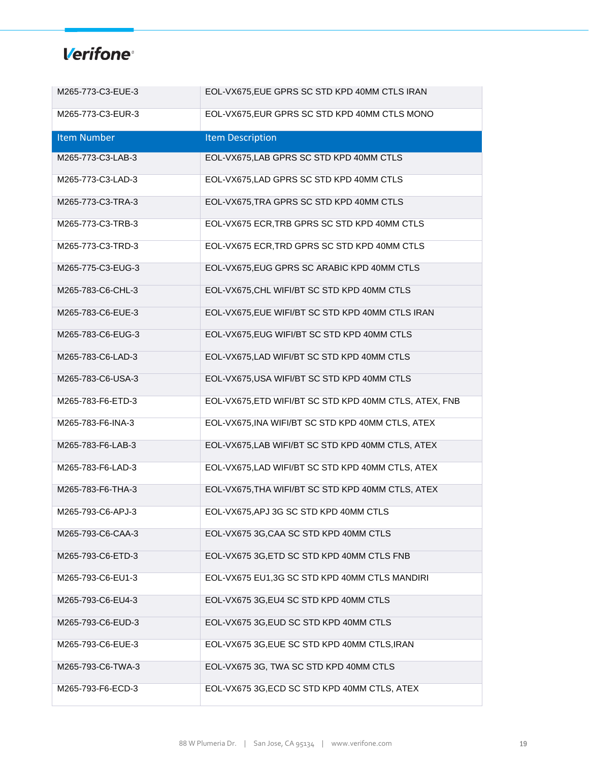| M265-773-C3-EUE-3  | EOL-VX675, EUE GPRS SC STD KPD 40MM CTLS IRAN          |
|--------------------|--------------------------------------------------------|
| M265-773-C3-EUR-3  | EOL-VX675, EUR GPRS SC STD KPD 40MM CTLS MONO          |
| <b>Item Number</b> | <b>Item Description</b>                                |
| M265-773-C3-LAB-3  | EOL-VX675, LAB GPRS SC STD KPD 40MM CTLS               |
| M265-773-C3-LAD-3  | EOL-VX675, LAD GPRS SC STD KPD 40MM CTLS               |
| M265-773-C3-TRA-3  | EOL-VX675, TRA GPRS SC STD KPD 40MM CTLS               |
| M265-773-C3-TRB-3  | EOL-VX675 ECR, TRB GPRS SC STD KPD 40MM CTLS           |
| M265-773-C3-TRD-3  | EOL-VX675 ECR, TRD GPRS SC STD KPD 40MM CTLS           |
| M265-775-C3-EUG-3  | EOL-VX675, EUG GPRS SC ARABIC KPD 40MM CTLS            |
| M265-783-C6-CHL-3  | EOL-VX675, CHL WIFI/BT SC STD KPD 40MM CTLS            |
| M265-783-C6-EUE-3  | EOL-VX675, EUE WIFI/BT SC STD KPD 40MM CTLS IRAN       |
| M265-783-C6-EUG-3  | EOL-VX675, EUG WIFI/BT SC STD KPD 40MM CTLS            |
| M265-783-C6-LAD-3  | EOL-VX675, LAD WIFI/BT SC STD KPD 40MM CTLS            |
| M265-783-C6-USA-3  | EOL-VX675, USA WIFI/BT SC STD KPD 40MM CTLS            |
| M265-783-F6-ETD-3  | EOL-VX675, ETD WIFI/BT SC STD KPD 40MM CTLS, ATEX, FNB |
| M265-783-F6-INA-3  | EOL-VX675, INA WIFI/BT SC STD KPD 40MM CTLS, ATEX      |
| M265-783-F6-LAB-3  | EOL-VX675, LAB WIFI/BT SC STD KPD 40MM CTLS, ATEX      |
| M265-783-F6-LAD-3  | EOL-VX675, LAD WIFI/BT SC STD KPD 40MM CTLS, ATEX      |
| M265-783-F6-THA-3  | EOL-VX675, THA WIFI/BT SC STD KPD 40MM CTLS, ATEX      |
| M265-793-C6-APJ-3  | EOL-VX675, APJ 3G SC STD KPD 40MM CTLS                 |
| M265-793-C6-CAA-3  | EOL-VX675 3G, CAA SC STD KPD 40MM CTLS                 |
| M265-793-C6-ETD-3  | EOL-VX675 3G, ETD SC STD KPD 40MM CTLS FNB             |
| M265-793-C6-EU1-3  | EOL-VX675 EU1,3G SC STD KPD 40MM CTLS MANDIRI          |
| M265-793-C6-EU4-3  | EOL-VX675 3G, EU4 SC STD KPD 40MM CTLS                 |
| M265-793-C6-EUD-3  | EOL-VX675 3G, EUD SC STD KPD 40MM CTLS                 |
| M265-793-C6-EUE-3  | EOL-VX675 3G, EUE SC STD KPD 40MM CTLS, IRAN           |
| M265-793-C6-TWA-3  | EOL-VX675 3G, TWA SC STD KPD 40MM CTLS                 |
| M265-793-F6-ECD-3  | EOL-VX675 3G, ECD SC STD KPD 40MM CTLS, ATEX           |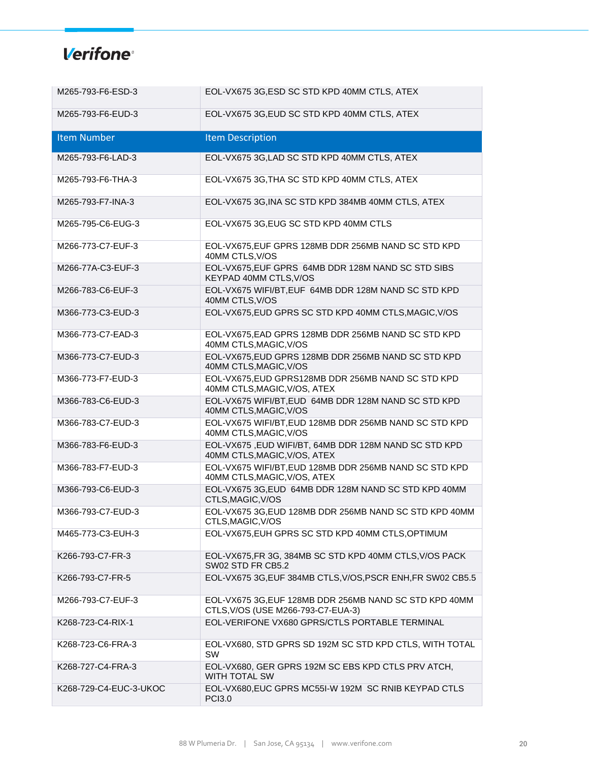| M265-793-F6-ESD-3      | EOL-VX675 3G, ESD SC STD KPD 40MM CTLS, ATEX                                                 |
|------------------------|----------------------------------------------------------------------------------------------|
| M265-793-F6-EUD-3      | EOL-VX675 3G, EUD SC STD KPD 40MM CTLS, ATEX                                                 |
| <b>Item Number</b>     | <b>Item Description</b>                                                                      |
| M265-793-F6-LAD-3      | EOL-VX675 3G, LAD SC STD KPD 40MM CTLS, ATEX                                                 |
| M265-793-F6-THA-3      | EOL-VX675 3G, THA SC STD KPD 40MM CTLS, ATEX                                                 |
| M265-793-F7-INA-3      | EOL-VX675 3G, INA SC STD KPD 384MB 40MM CTLS, ATEX                                           |
| M265-795-C6-EUG-3      | EOL-VX675 3G, EUG SC STD KPD 40MM CTLS                                                       |
| M266-773-C7-EUF-3      | EOL-VX675, EUF GPRS 128MB DDR 256MB NAND SC STD KPD<br>40MM CTLS, V/OS                       |
| M266-77A-C3-EUF-3      | EOL-VX675, EUF GPRS 64MB DDR 128M NAND SC STD SIBS<br>KEYPAD 40MM CTLS, V/OS                 |
| M266-783-C6-EUF-3      | EOL-VX675 WIFI/BT, EUF 64MB DDR 128M NAND SC STD KPD<br>40MM CTLS, V/OS                      |
| M366-773-C3-EUD-3      | EOL-VX675, EUD GPRS SC STD KPD 40MM CTLS, MAGIC, V/OS                                        |
| M366-773-C7-EAD-3      | EOL-VX675, EAD GPRS 128MB DDR 256MB NAND SC STD KPD<br>40MM CTLS, MAGIC, V/OS                |
| M366-773-C7-EUD-3      | EOL-VX675, EUD GPRS 128MB DDR 256MB NAND SC STD KPD<br>40MM CTLS, MAGIC, V/OS                |
| M366-773-F7-EUD-3      | EOL-VX675, EUD GPRS128MB DDR 256MB NAND SC STD KPD<br>40MM CTLS, MAGIC, V/OS, ATEX           |
| M366-783-C6-EUD-3      | EOL-VX675 WIFI/BT, EUD 64MB DDR 128M NAND SC STD KPD<br>40MM CTLS, MAGIC, V/OS               |
| M366-783-C7-EUD-3      | EOL-VX675 WIFI/BT, EUD 128MB DDR 256MB NAND SC STD KPD<br>40MM CTLS, MAGIC, V/OS             |
| M366-783-F6-EUD-3      | EOL-VX675, EUD WIFI/BT, 64MB DDR 128M NAND SC STD KPD<br>40MM CTLS, MAGIC, V/OS, ATEX        |
| M366-783-F7-EUD-3      | EOL-VX675 WIFI/BT, EUD 128MB DDR 256MB NAND SC STD KPD<br>40MM CTLS, MAGIC, V/OS, ATEX       |
| M366-793-C6-EUD-3      | EOL-VX675 3G,EUD 64MB DDR 128M NAND SC STD KPD 40MM<br>CTLS, MAGIC, V/OS                     |
| M366-793-C7-EUD-3      | EOL-VX675 3G, EUD 128MB DDR 256MB NAND SC STD KPD 40MM<br>CTLS, MAGIC, V/OS                  |
| M465-773-C3-EUH-3      | EOL-VX675, EUH GPRS SC STD KPD 40MM CTLS, OPTIMUM                                            |
| K266-793-C7-FR-3       | EOL-VX675, FR 3G, 384MB SC STD KPD 40MM CTLS, V/OS PACK<br>SW02 STD FR CB5.2                 |
| K266-793-C7-FR-5       | EOL-VX675 3G, EUF 384MB CTLS, V/OS, PSCR ENH, FR SW02 CB5.5                                  |
| M266-793-C7-EUF-3      | EOL-VX675 3G, EUF 128MB DDR 256MB NAND SC STD KPD 40MM<br>CTLS, V/OS (USE M266-793-C7-EUA-3) |
| K268-723-C4-RIX-1      | EOL-VERIFONE VX680 GPRS/CTLS PORTABLE TERMINAL                                               |
| K268-723-C6-FRA-3      | EOL-VX680, STD GPRS SD 192M SC STD KPD CTLS, WITH TOTAL<br><b>SW</b>                         |
| K268-727-C4-FRA-3      | EOL-VX680, GER GPRS 192M SC EBS KPD CTLS PRV ATCH,<br><b>WITH TOTAL SW</b>                   |
| K268-729-C4-EUC-3-UKOC | EOL-VX680, EUC GPRS MC55I-W 192M SC RNIB KEYPAD CTLS<br><b>PCI3.0</b>                        |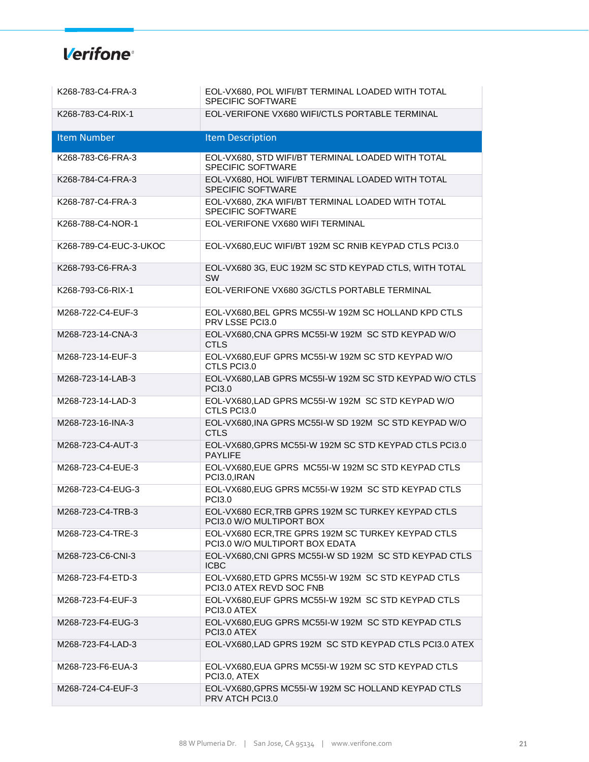| K268-783-C4-FRA-3      | EOL-VX680, POL WIFI/BT TERMINAL LOADED WITH TOTAL<br><b>SPECIFIC SOFTWARE</b>        |
|------------------------|--------------------------------------------------------------------------------------|
| K268-783-C4-RIX-1      | EOL-VERIFONE VX680 WIFI/CTLS PORTABLE TERMINAL                                       |
| <b>Item Number</b>     | <b>Item Description</b>                                                              |
| K268-783-C6-FRA-3      | EOL-VX680, STD WIFI/BT TERMINAL LOADED WITH TOTAL<br><b>SPECIFIC SOFTWARE</b>        |
| K268-784-C4-FRA-3      | EOL-VX680, HOL WIFI/BT TERMINAL LOADED WITH TOTAL<br><b>SPECIFIC SOFTWARE</b>        |
| K268-787-C4-FRA-3      | EOL-VX680, ZKA WIFI/BT TERMINAL LOADED WITH TOTAL<br><b>SPECIFIC SOFTWARE</b>        |
| K268-788-C4-NOR-1      | EOL-VERIFONE VX680 WIFI TERMINAL                                                     |
| K268-789-C4-EUC-3-UKOC | EOL-VX680, EUC WIFI/BT 192M SC RNIB KEYPAD CTLS PCI3.0                               |
| K268-793-C6-FRA-3      | EOL-VX680 3G, EUC 192M SC STD KEYPAD CTLS, WITH TOTAL<br><b>SW</b>                   |
| K268-793-C6-RIX-1      | EOL-VERIFONE VX680 3G/CTLS PORTABLE TERMINAL                                         |
| M268-722-C4-EUF-3      | EOL-VX680, BEL GPRS MC55I-W 192M SC HOLLAND KPD CTLS<br>PRV LSSE PCI3.0              |
| M268-723-14-CNA-3      | EOL-VX680, CNA GPRS MC55I-W 192M SC STD KEYPAD W/O<br><b>CTLS</b>                    |
| M268-723-14-EUF-3      | EOL-VX680, EUF GPRS MC55I-W 192M SC STD KEYPAD W/O<br>CTLS PCI3.0                    |
| M268-723-14-LAB-3      | EOL-VX680, LAB GPRS MC55I-W 192M SC STD KEYPAD W/O CTLS<br><b>PCI3.0</b>             |
| M268-723-14-LAD-3      | EOL-VX680, LAD GPRS MC55I-W 192M SC STD KEYPAD W/O<br>CTLS PCI3.0                    |
| M268-723-16-INA-3      | EOL-VX680, INA GPRS MC55I-W SD 192M SC STD KEYPAD W/O<br><b>CTLS</b>                 |
| M268-723-C4-AUT-3      | EOL-VX680, GPRS MC55I-W 192M SC STD KEYPAD CTLS PCI3.0<br><b>PAYLIFE</b>             |
| M268-723-C4-EUE-3      | EOL-VX680, EUE GPRS MC55I-W 192M SC STD KEYPAD CTLS<br>PCI3.0, IRAN                  |
| M268-723-C4-EUG-3      | EOL-VX680, EUG GPRS MC55I-W 192M SC STD KEYPAD CTLS<br><b>PCI3.0</b>                 |
| M268-723-C4-TRB-3      | EOL-VX680 ECR, TRB GPRS 192M SC TURKEY KEYPAD CTLS<br>PCI3.0 W/O MULTIPORT BOX       |
| M268-723-C4-TRE-3      | EOL-VX680 ECR, TRE GPRS 192M SC TURKEY KEYPAD CTLS<br>PCI3.0 W/O MULTIPORT BOX EDATA |
| M268-723-C6-CNI-3      | EOL-VX680, CNI GPRS MC55I-W SD 192M SC STD KEYPAD CTLS<br><b>ICBC</b>                |
| M268-723-F4-ETD-3      | EOL-VX680, ETD GPRS MC55I-W 192M SC STD KEYPAD CTLS<br>PCI3.0 ATEX REVD SOC FNB      |
| M268-723-F4-EUF-3      | EOL-VX680, EUF GPRS MC55I-W 192M SC STD KEYPAD CTLS<br>PCI3.0 ATEX                   |
| M268-723-F4-EUG-3      | EOL-VX680, EUG GPRS MC55I-W 192M SC STD KEYPAD CTLS<br>PCI3.0 ATEX                   |
| M268-723-F4-LAD-3      | EOL-VX680, LAD GPRS 192M SC STD KEYPAD CTLS PCI3.0 ATEX                              |
| M268-723-F6-EUA-3      | EOL-VX680, EUA GPRS MC55I-W 192M SC STD KEYPAD CTLS<br>PCI3.0, ATEX                  |
| M268-724-C4-EUF-3      | EOL-VX680, GPRS MC55I-W 192M SC HOLLAND KEYPAD CTLS<br>PRV ATCH PCI3.0               |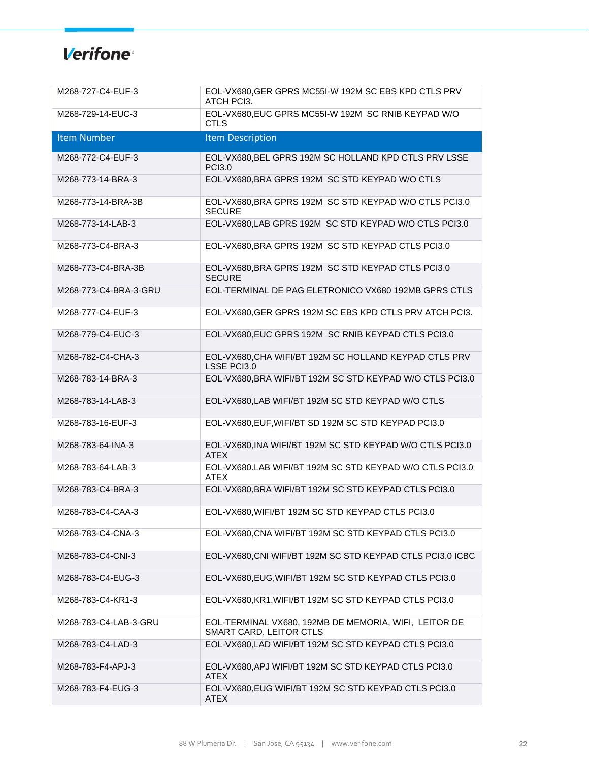| M268-727-C4-EUF-3     | EOL-VX680, GER GPRS MC55I-W 192M SC EBS KPD CTLS PRV<br>ATCH PCI3.               |
|-----------------------|----------------------------------------------------------------------------------|
| M268-729-14-EUC-3     | EOL-VX680, EUC GPRS MC55I-W 192M SC RNIB KEYPAD W/O<br><b>CTLS</b>               |
| <b>Item Number</b>    | <b>Item Description</b>                                                          |
| M268-772-C4-EUF-3     | EOL-VX680, BEL GPRS 192M SC HOLLAND KPD CTLS PRV LSSE<br><b>PCI3.0</b>           |
| M268-773-14-BRA-3     | EOL-VX680, BRA GPRS 192M SC STD KEYPAD W/O CTLS                                  |
| M268-773-14-BRA-3B    | EOL-VX680, BRA GPRS 192M SC STD KEYPAD W/O CTLS PCI3.0<br><b>SECURE</b>          |
| M268-773-14-LAB-3     | EOL-VX680, LAB GPRS 192M SC STD KEYPAD W/O CTLS PCI3.0                           |
| M268-773-C4-BRA-3     | EOL-VX680, BRA GPRS 192M SC STD KEYPAD CTLS PCI3.0                               |
| M268-773-C4-BRA-3B    | EOL-VX680, BRA GPRS 192M SC STD KEYPAD CTLS PCI3.0<br><b>SECURE</b>              |
| M268-773-C4-BRA-3-GRU | EOL-TERMINAL DE PAG ELETRONICO VX680 192MB GPRS CTLS                             |
| M268-777-C4-EUF-3     | EOL-VX680, GER GPRS 192M SC EBS KPD CTLS PRV ATCH PCI3.                          |
| M268-779-C4-EUC-3     | EOL-VX680, EUC GPRS 192M SC RNIB KEYPAD CTLS PCI3.0                              |
| M268-782-C4-CHA-3     | EOL-VX680, CHA WIFI/BT 192M SC HOLLAND KEYPAD CTLS PRV<br>LSSE PCI3.0            |
| M268-783-14-BRA-3     | EOL-VX680, BRA WIFI/BT 192M SC STD KEYPAD W/O CTLS PCI3.0                        |
| M268-783-14-LAB-3     | EOL-VX680, LAB WIFI/BT 192M SC STD KEYPAD W/O CTLS                               |
| M268-783-16-EUF-3     | EOL-VX680, EUF, WIFI/BT SD 192M SC STD KEYPAD PCI3.0                             |
| M268-783-64-INA-3     | EOL-VX680, INA WIFI/BT 192M SC STD KEYPAD W/O CTLS PCI3.0<br><b>ATEX</b>         |
| M268-783-64-LAB-3     | EOL-VX680.LAB WIFI/BT 192M SC STD KEYPAD W/O CTLS PCI3.0<br><b>ATEX</b>          |
| M268-783-C4-BRA-3     | EOL-VX680, BRA WIFI/BT 192M SC STD KEYPAD CTLS PCI3.0                            |
| M268-783-C4-CAA-3     | EOL-VX680, WIFI/BT 192M SC STD KEYPAD CTLS PCI3.0                                |
| M268-783-C4-CNA-3     | EOL-VX680, CNA WIFI/BT 192M SC STD KEYPAD CTLS PCI3.0                            |
| M268-783-C4-CNI-3     | EOL-VX680, CNI WIFI/BT 192M SC STD KEYPAD CTLS PCI3.0 ICBC                       |
| M268-783-C4-EUG-3     | EOL-VX680, EUG, WIFI/BT 192M SC STD KEYPAD CTLS PCI3.0                           |
| M268-783-C4-KR1-3     | EOL-VX680, KR1, WIFI/BT 192M SC STD KEYPAD CTLS PCI3.0                           |
| M268-783-C4-LAB-3-GRU | EOL-TERMINAL VX680, 192MB DE MEMORIA, WIFI, LEITOR DE<br>SMART CARD, LEITOR CTLS |
| M268-783-C4-LAD-3     | EOL-VX680, LAD WIFI/BT 192M SC STD KEYPAD CTLS PCI3.0                            |
| M268-783-F4-APJ-3     | EOL-VX680, APJ WIFI/BT 192M SC STD KEYPAD CTLS PCI3.0<br><b>ATEX</b>             |
| M268-783-F4-EUG-3     | EOL-VX680, EUG WIFI/BT 192M SC STD KEYPAD CTLS PCI3.0<br><b>ATEX</b>             |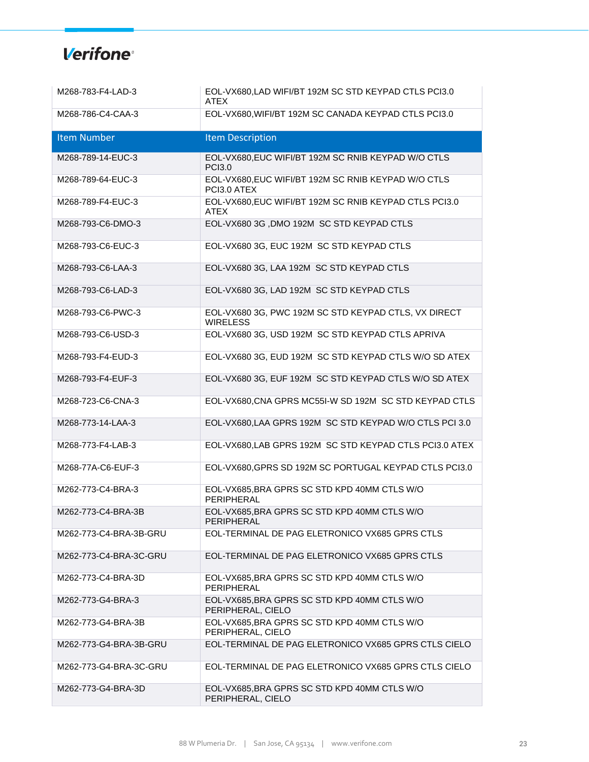| M268-783-F4-LAD-3      | EOL-VX680, LAD WIFI/BT 192M SC STD KEYPAD CTLS PCI3.0<br><b>ATEX</b>    |
|------------------------|-------------------------------------------------------------------------|
| M268-786-C4-CAA-3      | EOL-VX680, WIFI/BT 192M SC CANADA KEYPAD CTLS PCI3.0                    |
| <b>Item Number</b>     | <b>Item Description</b>                                                 |
| M268-789-14-EUC-3      | EOL-VX680, EUC WIFI/BT 192M SC RNIB KEYPAD W/O CTLS<br><b>PCI3.0</b>    |
| M268-789-64-EUC-3      | EOL-VX680, EUC WIFI/BT 192M SC RNIB KEYPAD W/O CTLS<br>PCI3.0 ATEX      |
| M268-789-F4-EUC-3      | EOL-VX680, EUC WIFI/BT 192M SC RNIB KEYPAD CTLS PCI3.0<br>ATEX          |
| M268-793-C6-DMO-3      | EOL-VX680 3G , DMO 192M SC STD KEYPAD CTLS                              |
| M268-793-C6-EUC-3      | EOL-VX680 3G, EUC 192M SC STD KEYPAD CTLS                               |
| M268-793-C6-LAA-3      | EOL-VX680 3G, LAA 192M SC STD KEYPAD CTLS                               |
| M268-793-C6-LAD-3      | EOL-VX680 3G, LAD 192M SC STD KEYPAD CTLS                               |
| M268-793-C6-PWC-3      | EOL-VX680 3G, PWC 192M SC STD KEYPAD CTLS, VX DIRECT<br><b>WIRELESS</b> |
| M268-793-C6-USD-3      | EOL-VX680 3G, USD 192M SC STD KEYPAD CTLS APRIVA                        |
| M268-793-F4-EUD-3      | EOL-VX680 3G, EUD 192M SC STD KEYPAD CTLS W/O SD ATEX                   |
| M268-793-F4-EUF-3      | EOL-VX680 3G, EUF 192M SC STD KEYPAD CTLS W/O SD ATEX                   |
| M268-723-C6-CNA-3      | EOL-VX680, CNA GPRS MC55I-W SD 192M SC STD KEYPAD CTLS                  |
| M268-773-14-LAA-3      | EOL-VX680, LAA GPRS 192M SC STD KEYPAD W/O CTLS PCI 3.0                 |
| M268-773-F4-LAB-3      | EOL-VX680, LAB GPRS 192M SC STD KEYPAD CTLS PCI3.0 ATEX                 |
| M268-77A-C6-EUF-3      | EOL-VX680, GPRS SD 192M SC PORTUGAL KEYPAD CTLS PCI3.0                  |
| M262-773-C4-BRA-3      | EOL-VX685, BRA GPRS SC STD KPD 40MM CTLS W/O<br>PERIPHERAL              |
| M262-773-C4-BRA-3B     | EOL-VX685, BRA GPRS SC STD KPD 40MM CTLS W/O<br>PERIPHERAL              |
| M262-773-C4-BRA-3B-GRU | EOL-TERMINAL DE PAG ELETRONICO VX685 GPRS CTLS                          |
| M262-773-C4-BRA-3C-GRU | EOL-TERMINAL DE PAG ELETRONICO VX685 GPRS CTLS                          |
| M262-773-C4-BRA-3D     | EOL-VX685, BRA GPRS SC STD KPD 40MM CTLS W/O<br>PERIPHERAL              |
| M262-773-G4-BRA-3      | EOL-VX685, BRA GPRS SC STD KPD 40MM CTLS W/O<br>PERIPHERAL, CIELO       |
| M262-773-G4-BRA-3B     | EOL-VX685, BRA GPRS SC STD KPD 40MM CTLS W/O<br>PERIPHERAL, CIELO       |
| M262-773-G4-BRA-3B-GRU | EOL-TERMINAL DE PAG ELETRONICO VX685 GPRS CTLS CIELO                    |
| M262-773-G4-BRA-3C-GRU | EOL-TERMINAL DE PAG ELETRONICO VX685 GPRS CTLS CIELO                    |
| M262-773-G4-BRA-3D     | EOL-VX685, BRA GPRS SC STD KPD 40MM CTLS W/O<br>PERIPHERAL, CIELO       |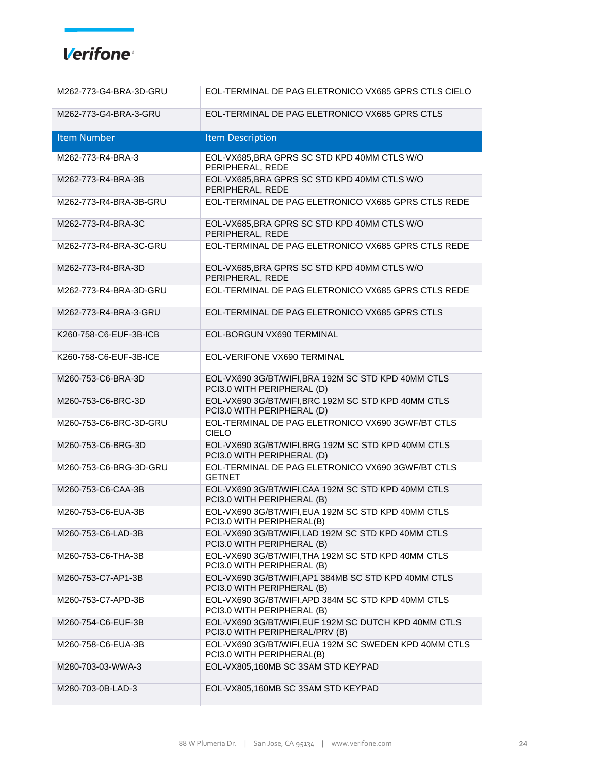| M262-773-G4-BRA-3D-GRU | EOL-TERMINAL DE PAG ELETRONICO VX685 GPRS CTLS CIELO                                    |
|------------------------|-----------------------------------------------------------------------------------------|
| M262-773-G4-BRA-3-GRU  | EOL-TERMINAL DE PAG ELETRONICO VX685 GPRS CTLS                                          |
| <b>Item Number</b>     | <b>Item Description</b>                                                                 |
| M262-773-R4-BRA-3      | EOL-VX685, BRA GPRS SC STD KPD 40MM CTLS W/O<br>PERIPHERAL, REDE                        |
| M262-773-R4-BRA-3B     | EOL-VX685, BRA GPRS SC STD KPD 40MM CTLS W/O<br>PERIPHERAL, REDE                        |
| M262-773-R4-BRA-3B-GRU | EOL-TERMINAL DE PAG ELETRONICO VX685 GPRS CTLS REDE                                     |
| M262-773-R4-BRA-3C     | EOL-VX685, BRA GPRS SC STD KPD 40MM CTLS W/O<br>PERIPHERAL, REDE                        |
| M262-773-R4-BRA-3C-GRU | EOL-TERMINAL DE PAG ELETRONICO VX685 GPRS CTLS REDE                                     |
| M262-773-R4-BRA-3D     | EOL-VX685, BRA GPRS SC STD KPD 40MM CTLS W/O<br>PERIPHERAL, REDE                        |
| M262-773-R4-BRA-3D-GRU | EOL-TERMINAL DE PAG ELETRONICO VX685 GPRS CTLS REDE                                     |
| M262-773-R4-BRA-3-GRU  | EOL-TERMINAL DE PAG ELETRONICO VX685 GPRS CTLS                                          |
| K260-758-C6-EUF-3B-ICB | EOL-BORGUN VX690 TERMINAL                                                               |
| K260-758-C6-EUF-3B-ICE | EOL-VERIFONE VX690 TERMINAL                                                             |
| M260-753-C6-BRA-3D     | EOL-VX690 3G/BT/WIFI, BRA 192M SC STD KPD 40MM CTLS<br>PCI3.0 WITH PERIPHERAL (D)       |
| M260-753-C6-BRC-3D     | EOL-VX690 3G/BT/WIFI, BRC 192M SC STD KPD 40MM CTLS<br>PCI3.0 WITH PERIPHERAL (D)       |
| M260-753-C6-BRC-3D-GRU | EOL-TERMINAL DE PAG ELETRONICO VX690 3GWF/BT CTLS<br><b>CIELO</b>                       |
| M260-753-C6-BRG-3D     | EOL-VX690 3G/BT/WIFI, BRG 192M SC STD KPD 40MM CTLS<br>PCI3.0 WITH PERIPHERAL (D)       |
| M260-753-C6-BRG-3D-GRU | EOL-TERMINAL DE PAG ELETRONICO VX690 3GWF/BT CTLS<br><b>GETNET</b>                      |
| M260-753-C6-CAA-3B     | EOL-VX690 3G/BT/WIFI, CAA 192M SC STD KPD 40MM CTLS<br>PCI3.0 WITH PERIPHERAL (B)       |
| M260-753-C6-EUA-3B     | EOL-VX690 3G/BT/WIFI, EUA 192M SC STD KPD 40MM CTLS<br>PCI3.0 WITH PERIPHERAL(B)        |
| M260-753-C6-LAD-3B     | EOL-VX690 3G/BT/WIFI,LAD 192M SC STD KPD 40MM CTLS<br>PCI3.0 WITH PERIPHERAL (B)        |
| M260-753-C6-THA-3B     | EOL-VX690 3G/BT/WIFI, THA 192M SC STD KPD 40MM CTLS<br>PCI3.0 WITH PERIPHERAL (B)       |
| M260-753-C7-AP1-3B     | EOL-VX690 3G/BT/WIFI, AP1 384MB SC STD KPD 40MM CTLS<br>PCI3.0 WITH PERIPHERAL (B)      |
| M260-753-C7-APD-3B     | EOL-VX690 3G/BT/WIFI, APD 384M SC STD KPD 40MM CTLS<br>PCI3.0 WITH PERIPHERAL (B)       |
| M260-754-C6-EUF-3B     | EOL-VX690 3G/BT/WIFI, EUF 192M SC DUTCH KPD 40MM CTLS<br>PCI3.0 WITH PERIPHERAL/PRV (B) |
| M260-758-C6-EUA-3B     | EOL-VX690 3G/BT/WIFI, EUA 192M SC SWEDEN KPD 40MM CTLS<br>PCI3.0 WITH PERIPHERAL(B)     |
| M280-703-03-WWA-3      | EOL-VX805,160MB SC 3SAM STD KEYPAD                                                      |
| M280-703-0B-LAD-3      | EOL-VX805,160MB SC 3SAM STD KEYPAD                                                      |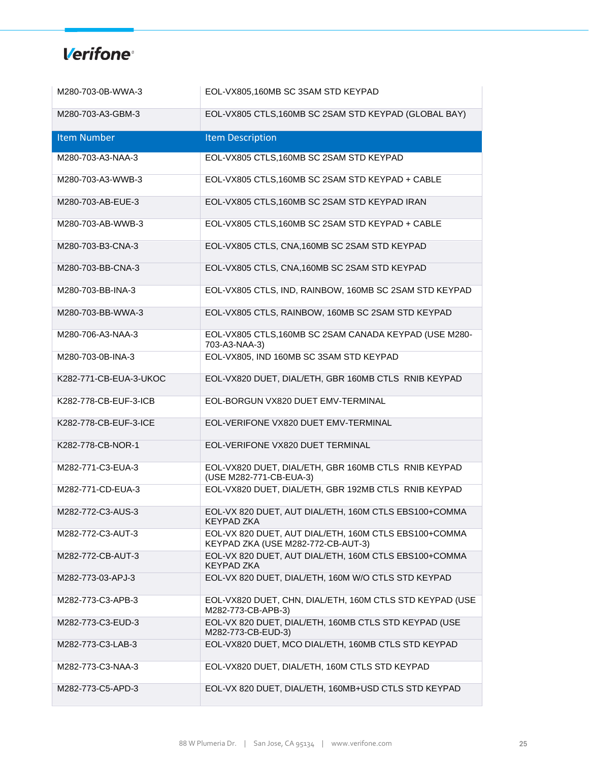| M280-703-0B-WWA-3      | EOL-VX805,160MB SC 3SAM STD KEYPAD                                                          |
|------------------------|---------------------------------------------------------------------------------------------|
| M280-703-A3-GBM-3      | EOL-VX805 CTLS,160MB SC 2SAM STD KEYPAD (GLOBAL BAY)                                        |
| <b>Item Number</b>     | <b>Item Description</b>                                                                     |
| M280-703-A3-NAA-3      | EOL-VX805 CTLS, 160MB SC 2SAM STD KEYPAD                                                    |
| M280-703-A3-WWB-3      | EOL-VX805 CTLS, 160MB SC 2SAM STD KEYPAD + CABLE                                            |
| M280-703-AB-EUE-3      | EOL-VX805 CTLS, 160MB SC 2SAM STD KEYPAD IRAN                                               |
| M280-703-AB-WWB-3      | EOL-VX805 CTLS, 160MB SC 2SAM STD KEYPAD + CABLE                                            |
| M280-703-B3-CNA-3      | EOL-VX805 CTLS, CNA, 160MB SC 2SAM STD KEYPAD                                               |
| M280-703-BB-CNA-3      | EOL-VX805 CTLS, CNA, 160MB SC 2SAM STD KEYPAD                                               |
| M280-703-BB-INA-3      | EOL-VX805 CTLS, IND, RAINBOW, 160MB SC 2SAM STD KEYPAD                                      |
| M280-703-BB-WWA-3      | EOL-VX805 CTLS, RAINBOW, 160MB SC 2SAM STD KEYPAD                                           |
| M280-706-A3-NAA-3      | EOL-VX805 CTLS, 160MB SC 2SAM CANADA KEYPAD (USE M280-<br>703-A3-NAA-3)                     |
| M280-703-0B-INA-3      | EOL-VX805, IND 160MB SC 3SAM STD KEYPAD                                                     |
| K282-771-CB-EUA-3-UKOC | EOL-VX820 DUET, DIAL/ETH, GBR 160MB CTLS RNIB KEYPAD                                        |
| K282-778-CB-EUF-3-ICB  | EOL-BORGUN VX820 DUET EMV-TERMINAL                                                          |
| K282-778-CB-EUF-3-ICE  | EOL-VERIFONE VX820 DUET EMV-TERMINAL                                                        |
| K282-778-CB-NOR-1      | EOL-VERIFONE VX820 DUET TERMINAL                                                            |
| M282-771-C3-EUA-3      | EOL-VX820 DUET, DIAL/ETH, GBR 160MB CTLS RNIB KEYPAD<br>(USE M282-771-CB-EUA-3)             |
| M282-771-CD-EUA-3      | EOL-VX820 DUET, DIAL/ETH, GBR 192MB CTLS RNIB KEYPAD                                        |
| M282-772-C3-AUS-3      | EOL-VX 820 DUET, AUT DIAL/ETH, 160M CTLS EBS100+COMMA<br><b>KEYPAD ZKA</b>                  |
| M282-772-C3-AUT-3      | EOL-VX 820 DUET, AUT DIAL/ETH, 160M CTLS EBS100+COMMA<br>KEYPAD ZKA (USE M282-772-CB-AUT-3) |
| M282-772-CB-AUT-3      | EOL-VX 820 DUET, AUT DIAL/ETH, 160M CTLS EBS100+COMMA<br><b>KEYPAD ZKA</b>                  |
| M282-773-03-APJ-3      | EOL-VX 820 DUET, DIAL/ETH, 160M W/O CTLS STD KEYPAD                                         |
| M282-773-C3-APB-3      | EOL-VX820 DUET, CHN, DIAL/ETH, 160M CTLS STD KEYPAD (USE<br>M282-773-CB-APB-3)              |
| M282-773-C3-EUD-3      | EOL-VX 820 DUET, DIAL/ETH, 160MB CTLS STD KEYPAD (USE<br>M282-773-CB-EUD-3)                 |
| M282-773-C3-LAB-3      | EOL-VX820 DUET, MCO DIAL/ETH, 160MB CTLS STD KEYPAD                                         |
| M282-773-C3-NAA-3      | EOL-VX820 DUET, DIAL/ETH, 160M CTLS STD KEYPAD                                              |
| M282-773-C5-APD-3      | EOL-VX 820 DUET, DIAL/ETH, 160MB+USD CTLS STD KEYPAD                                        |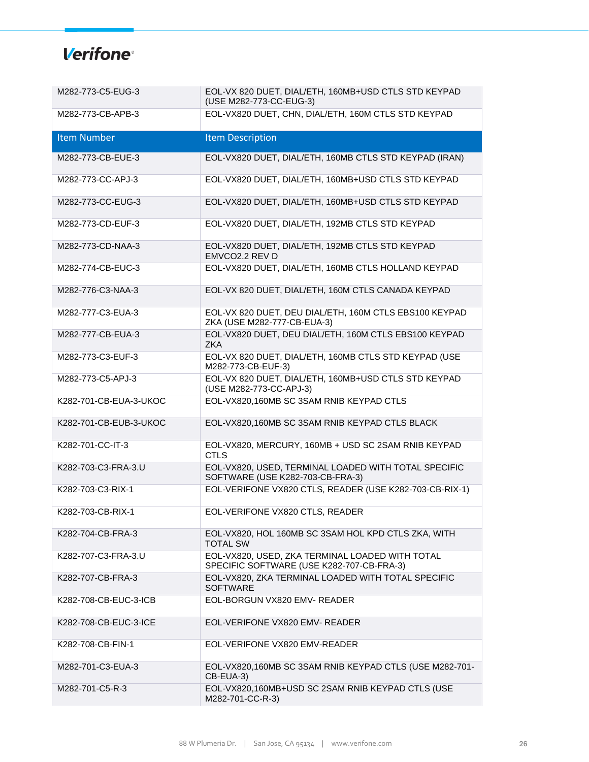| M282-773-C5-EUG-3      | EOL-VX 820 DUET, DIAL/ETH, 160MB+USD CTLS STD KEYPAD<br>(USE M282-773-CC-EUG-3)              |
|------------------------|----------------------------------------------------------------------------------------------|
| M282-773-CB-APB-3      | EOL-VX820 DUET, CHN, DIAL/ETH, 160M CTLS STD KEYPAD                                          |
| <b>Item Number</b>     | <b>Item Description</b>                                                                      |
| M282-773-CB-EUE-3      | EOL-VX820 DUET, DIAL/ETH, 160MB CTLS STD KEYPAD (IRAN)                                       |
| M282-773-CC-APJ-3      | EOL-VX820 DUET, DIAL/ETH, 160MB+USD CTLS STD KEYPAD                                          |
| M282-773-CC-EUG-3      | EOL-VX820 DUET, DIAL/ETH, 160MB+USD CTLS STD KEYPAD                                          |
| M282-773-CD-EUF-3      | EOL-VX820 DUET, DIAL/ETH, 192MB CTLS STD KEYPAD                                              |
| M282-773-CD-NAA-3      | EOL-VX820 DUET, DIAL/ETH, 192MB CTLS STD KEYPAD<br>EMVCO2.2 REV D                            |
| M282-774-CB-EUC-3      | EOL-VX820 DUET, DIAL/ETH, 160MB CTLS HOLLAND KEYPAD                                          |
| M282-776-C3-NAA-3      | EOL-VX 820 DUET, DIAL/ETH, 160M CTLS CANADA KEYPAD                                           |
| M282-777-C3-EUA-3      | EOL-VX 820 DUET, DEU DIAL/ETH, 160M CTLS EBS100 KEYPAD<br>ZKA (USE M282-777-CB-EUA-3)        |
| M282-777-CB-EUA-3      | EOL-VX820 DUET, DEU DIAL/ETH, 160M CTLS EBS100 KEYPAD<br><b>ZKA</b>                          |
| M282-773-C3-EUF-3      | EOL-VX 820 DUET, DIAL/ETH, 160MB CTLS STD KEYPAD (USE<br>M282-773-CB-EUF-3)                  |
| M282-773-C5-APJ-3      | EOL-VX 820 DUET, DIAL/ETH, 160MB+USD CTLS STD KEYPAD<br>(USE M282-773-CC-APJ-3)              |
| K282-701-CB-EUA-3-UKOC | EOL-VX820,160MB SC 3SAM RNIB KEYPAD CTLS                                                     |
| K282-701-CB-EUB-3-UKOC | EOL-VX820,160MB SC 3SAM RNIB KEYPAD CTLS BLACK                                               |
| K282-701-CC-IT-3       | EOL-VX820, MERCURY, 160MB + USD SC 2SAM RNIB KEYPAD<br><b>CTLS</b>                           |
| K282-703-C3-FRA-3.U    | EOL-VX820, USED, TERMINAL LOADED WITH TOTAL SPECIFIC<br>SOFTWARE (USE K282-703-CB-FRA-3)     |
| K282-703-C3-RIX-1      | EOL-VERIFONE VX820 CTLS, READER (USE K282-703-CB-RIX-1)                                      |
| K282-703-CB-RIX-1      | EOL-VERIFONE VX820 CTLS, READER                                                              |
| K282-704-CB-FRA-3      | EOL-VX820, HOL 160MB SC 3SAM HOL KPD CTLS ZKA, WITH<br><b>TOTAL SW</b>                       |
| K282-707-C3-FRA-3.U    | EOL-VX820, USED, ZKA TERMINAL LOADED WITH TOTAL<br>SPECIFIC SOFTWARE (USE K282-707-CB-FRA-3) |
| K282-707-CB-FRA-3      | EOL-VX820, ZKA TERMINAL LOADED WITH TOTAL SPECIFIC<br><b>SOFTWARE</b>                        |
| K282-708-CB-EUC-3-ICB  | EOL-BORGUN VX820 EMV- READER                                                                 |
| K282-708-CB-EUC-3-ICE  | EOL-VERIFONE VX820 EMV- READER                                                               |
| K282-708-CB-FIN-1      | EOL-VERIFONE VX820 EMV-READER                                                                |
| M282-701-C3-EUA-3      | EOL-VX820,160MB SC 3SAM RNIB KEYPAD CTLS (USE M282-701-<br>CB-EUA-3)                         |
| M282-701-C5-R-3        | EOL-VX820,160MB+USD SC 2SAM RNIB KEYPAD CTLS (USE<br>M282-701-CC-R-3)                        |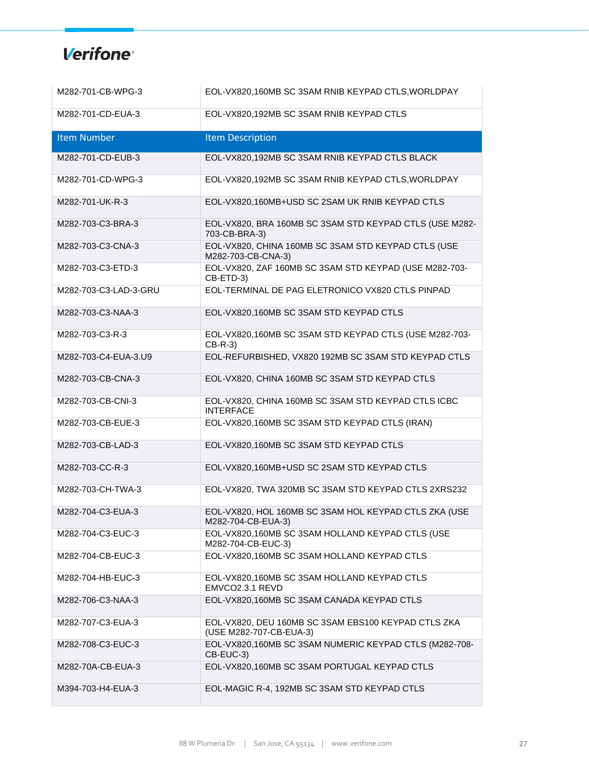| M282-701-CB-WPG-3     | EOL-VX820,160MB SC 3SAM RNIB KEYPAD CTLS, WORLDPAY                             |
|-----------------------|--------------------------------------------------------------------------------|
| M282-701-CD-EUA-3     | EOL-VX820,192MB SC 3SAM RNIB KEYPAD CTLS                                       |
| <b>Item Number</b>    | <b>Item Description</b>                                                        |
| M282-701-CD-EUB-3     | EOL-VX820,192MB SC 3SAM RNIB KEYPAD CTLS BLACK                                 |
| M282-701-CD-WPG-3     | EOL-VX820,192MB SC 3SAM RNIB KEYPAD CTLS, WORLDPAY                             |
| M282-701-UK-R-3       | EOL-VX820,160MB+USD SC 2SAM UK RNIB KEYPAD CTLS                                |
| M282-703-C3-BRA-3     | EOL-VX820, BRA 160MB SC 3SAM STD KEYPAD CTLS (USE M282-<br>703-CB-BRA-3)       |
| M282-703-C3-CNA-3     | EOL-VX820, CHINA 160MB SC 3SAM STD KEYPAD CTLS (USE<br>M282-703-CB-CNA-3)      |
| M282-703-C3-ETD-3     | EOL-VX820, ZAF 160MB SC 3SAM STD KEYPAD (USE M282-703-<br>CB-ETD-3)            |
| M282-703-C3-LAD-3-GRU | EOL-TERMINAL DE PAG ELETRONICO VX820 CTLS PINPAD                               |
| M282-703-C3-NAA-3     | EOL-VX820,160MB SC 3SAM STD KEYPAD CTLS                                        |
| M282-703-C3-R-3       | EOL-VX820,160MB SC 3SAM STD KEYPAD CTLS (USE M282-703-<br>$CB-R-3)$            |
| M282-703-C4-EUA-3.U9  | EOL-REFURBISHED, VX820 192MB SC 3SAM STD KEYPAD CTLS                           |
| M282-703-CB-CNA-3     | EOL-VX820, CHINA 160MB SC 3SAM STD KEYPAD CTLS                                 |
| M282-703-CB-CNI-3     | EOL-VX820, CHINA 160MB SC 3SAM STD KEYPAD CTLS ICBC<br><b>INTERFACE</b>        |
| M282-703-CB-EUE-3     | EOL-VX820,160MB SC 3SAM STD KEYPAD CTLS (IRAN)                                 |
| M282-703-CB-LAD-3     | EOL-VX820,160MB SC 3SAM STD KEYPAD CTLS                                        |
| M282-703-CC-R-3       | EOL-VX820,160MB+USD SC 2SAM STD KEYPAD CTLS                                    |
| M282-703-CH-TWA-3     | EOL-VX820, TWA 320MB SC 3SAM STD KEYPAD CTLS 2XRS232                           |
| M282-704-C3-EUA-3     | EOL-VX820, HOL 160MB SC 3SAM HOL KEYPAD CTLS ZKA (USE<br>M282-704-CB-EUA-3)    |
| M282-704-C3-EUC-3     | EOL-VX820,160MB SC 3SAM HOLLAND KEYPAD CTLS (USE<br>M282-704-CB-EUC-3)         |
| M282-704-CB-EUC-3     | EOL-VX820,160MB SC 3SAM HOLLAND KEYPAD CTLS                                    |
| M282-704-HB-EUC-3     | EOL-VX820,160MB SC 3SAM HOLLAND KEYPAD CTLS<br>EMVCO2.3.1 REVD                 |
| M282-706-C3-NAA-3     | EOL-VX820,160MB SC 3SAM CANADA KEYPAD CTLS                                     |
| M282-707-C3-EUA-3     | EOL-VX820, DEU 160MB SC 3SAM EBS100 KEYPAD CTLS ZKA<br>(USE M282-707-CB-EUA-3) |
| M282-708-C3-EUC-3     | EOL-VX820,160MB SC 3SAM NUMERIC KEYPAD CTLS (M282-708-<br>CB-EUC-3)            |
| M282-70A-CB-EUA-3     | EOL-VX820,160MB SC 3SAM PORTUGAL KEYPAD CTLS                                   |
| M394-703-H4-EUA-3     | EOL-MAGIC R-4, 192MB SC 3SAM STD KEYPAD CTLS                                   |